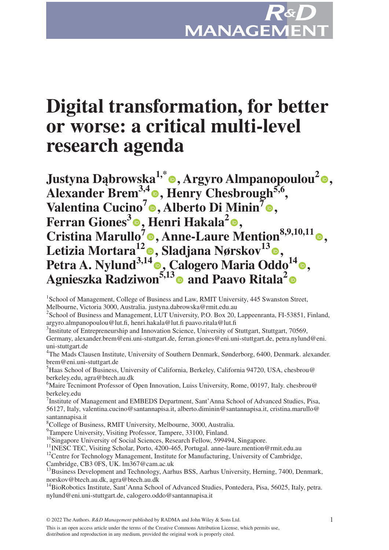

# **Digital transformation, for better or worse: a critical multi-level research agenda**

**Justyna Dąbrowska1,\* , Argyro Almpanopoulou[2](https://orcid.org/0000-0002-5362-842X) ,**  Alexander Brem<sup>3[,](https://orcid.org/0000-0002-6901-7498)4</sup><sup>o</sup>, Henry Chesbrough<sup>5,6</sup>, **Valentina Cucino[7](https://orcid.org/0000-0002-4910-5861) , Alberto Di Minin7 [,](https://orcid.org/0000-0002-4904-1335) Ferran Giones<sup>3</sup> •[,](https://orcid.org/0000-0002-1927-6918) Henri Hakala<sup>2</sup> •, Cristina Marullo<sup>7</sup> , Anne-Laure Mention8,9,10,11 , Letizia Mortara1[2](https://orcid.org/0000-0003-0461-5339) , Sladjana Nørskov13 , Petra A. Nylund3,14 [,](https://orcid.org/0000-0002-7819-3565) Calogero Maria Oddo1[4](https://orcid.org/0000-0002-1489-5701) , Agnieszka Radziwon5,1[3](https://orcid.org/0000-0001-8491-6590) and Paavo Ritala[2](https://orcid.org/0000-0002-8525-4610)**

<sup>1</sup> School of Management, College of Business and Law, RMIT University, 445 Swanston Street, Melbourne, Victoria 3000, Australia. justyna.dabrowska@rmit.edu.au

<sup>2</sup> School of Business and Management, LUT University, P.O. Box 20, Lappeenranta, FI-53851, Finland, argyro.almpanopoulou@lut.fi, henri.hakala@lut.fi paavo.ritala@lut.fi

<sup>3</sup>Institute of Entrepreneurship and Innovation Science, University of Stuttgart, Stuttgart, 70569, Germany, alexander.brem@eni.uni-stuttgart.de, ferran.giones@eni.uni-stuttgart.de, petra.nylund@eni. uni-stuttgart.de

<sup>4</sup>The Mads Clausen Institute, University of Southern Denmark, Sønderborg, 6400, Denmark. alexander. brem@eni.uni-stuttgart.de

<sup>5</sup>Haas School of Business, University of California, Berkeley, California 94720, USA, chesbrou@ berkeley.edu, agra@btech.au.dk

<sup>6</sup>Maire Tecnimont Professor of Open Innovation, Luiss University, Rome, 00197, Italy. chesbrou@ berkeley.edu

<sup>7</sup> Institute of Management and EMBEDS Department, Sant'Anna School of Advanced Studies, Pisa, 56127, Italy, valentina.cucino@santannapisa.it, alberto.diminin@santannapisa.it, cristina.marullo@ santannapisa.it

8 College of Business, RMIT University, Melbourne, 3000, Australia.

<sup>9</sup>Tampere University, Visiting Professor, Tampere, 33100, Finland.

<sup>10</sup>Singapore University of Social Sciences, Research Fellow, 599494, Singapore.

<sup>11</sup>INESC TEC, Visiting Scholar, Porto, 4200-465, Portugal. anne-laure.mention@rmit.edu.au

<sup>12</sup>Centre for Technology Management, Institute for Manufacturing, University of Cambridge,

Cambridge, CB3 0FS, UK. lm367@cam.ac.uk

<sup>13</sup>Business Development and Technology, Aarhus BSS, Aarhus University, Herning, 7400, Denmark, norskov@btech.au.dk, agra@btech.au.dk

<sup>14</sup>BioRobotics Institute, Sant'Anna School of Advanced Studies, Pontedera, Pisa, 56025, Italy, petra. nylund@eni.uni-stuttgart.de, calogero.oddo@santannapisa.it

© 2022 The Authors. *R&D Management* published by RADMA and John Wiley & Sons Ltd. 1

This is an open access article under the terms of the [Creative Commons Attribution](http://creativecommons.org/licenses/by/4.0/) License, which permits use, distribution and reproduction in any medium, provided the original work is properly cited.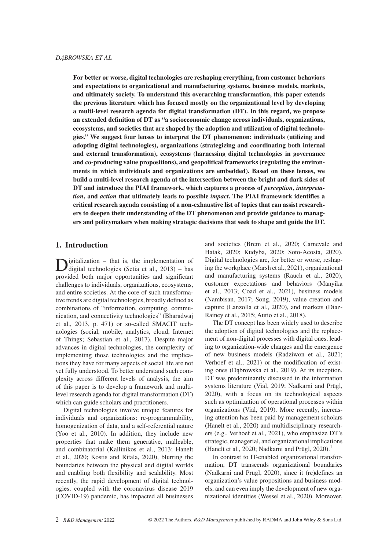**For better or worse, digital technologies are reshaping everything, from customer behaviors and expectations to organizational and manufacturing systems, business models, markets, and ultimately society. To understand this overarching transformation, this paper extends the previous literature which has focused mostly on the organizational level by developing a multi-level research agenda for digital transformation (DT). In this regard, we propose an extended definition of DT as "a socioeconomic change across individuals, organizations, ecosystems, and societies that are shaped by the adoption and utilization of digital technologies." We suggest four lenses to interpret the DT phenomenon: individuals (utilizing and adopting digital technologies), organizations (strategizing and coordinating both internal and external transformation), ecosystems (harnessing digital technologies in governance and co-producing value propositions), and geopolitical frameworks (regulating the environments in which individuals and organizations are embedded). Based on these lenses, we build a multi-level research agenda at the intersection between the bright and dark sides of DT and introduce the PIAI framework, which captures a process of** *perception***,** *interpretation***, and** *action* **that ultimately leads to possible** *impact***. The PIAI framework identifies a critical research agenda consisting of a non-exhaustive list of topics that can assist researchers to deepen their understanding of the DT phenomenon and provide guidance to managers and policymakers when making strategic decisions that seek to shape and guide the DT.**

#### **1. Introduction**

igitalization  $-$  that is, the implementation of digital technologies (Setia et al., 2013) – has provided both major opportunities and significant challenges to individuals, organizations, ecosystems, and entire societies. At the core of such transformative trends are digital technologies, broadly defined as combinations of "information, computing, communication, and connectivity technologies" (Bharadwaj et al., 2013, p. 471) or so-called SMACIT technologies (social, mobile, analytics, cloud, Internet of Things; Sebastian et al., 2017). Despite major advances in digital technologies, the complexity of implementing those technologies and the implications they have for many aspects of social life are not yet fully understood. To better understand such complexity across different levels of analysis, the aim of this paper is to develop a framework and multilevel research agenda for digital transformation (DT) which can guide scholars and practitioners.

Digital technologies involve unique features for individuals and organizations: re-programmability, homogenization of data, and a self-referential nature (Yoo et al., 2010). In addition, they include new properties that make them generative, malleable, and combinatorial (Kallinikos et al., 2013; Hanelt et al., 2020; Kostis and Ritala, 2020), blurring the boundaries between the physical and digital worlds and enabling both flexibility and scalability. Most recently, the rapid development of digital technologies, coupled with the coronavirus disease 2019 (COVID-19) pandemic, has impacted all businesses and societies (Brem et al., 2020; Carnevale and Hatak, 2020; Kudyba, 2020; Soto-Acosta, 2020). Digital technologies are, for better or worse, reshaping the workplace (Marsh et al., 2021), organizational and manufacturing systems (Rauch et al., 2020), customer expectations and behaviors (Manyika et al., 2013; Coad et al., 2021), business models (Nambisan, 2017; Song, 2019), value creation and capture (Lanzolla et al., 2020), and markets (Diaz-Rainey et al., 2015; Autio et al., 2018).

The DT concept has been widely used to describe the adoption of digital technologies and the replacement of non-digital processes with digital ones, leading to organization-wide changes and the emergence of new business models (Radziwon et al., 2021; Verhoef et al., 2021) or the modification of existing ones (Dąbrowska et al., 2019). At its inception, DT was predominantly discussed in the information systems literature (Vial, 2019; Nadkarni and Prügl, 2020), with a focus on its technological aspects such as optimization of operational processes within organizations (Vial, 2019). More recently, increasing attention has been paid by management scholars (Hanelt et al., 2020) and multidisciplinary researchers (e.g., Verhoef et al., 2021), who emphasize DT's strategic, managerial, and organizational implications (Hanelt et al., 2020; Nadkarni and Prügl,  $2020$ ).<sup>1</sup>

In contrast to IT-enabled organizational transformation, DT transcends organizational boundaries (Nadkarni and Prügl, 2020), since it (re)defines an organization's value propositions and business models, and can even imply the development of new organizational identities (Wessel et al., 2020). Moreover,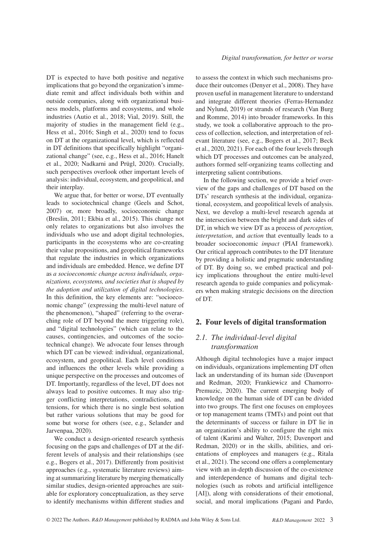DT is expected to have both positive and negative implications that go beyond the organization's immediate remit and affect individuals both within and outside companies, along with organizational business models, platforms and ecosystems, and whole industries (Autio et al., 2018; Vial, 2019). Still, the majority of studies in the management field (e.g., Hess et al., 2016; Singh et al., 2020) tend to focus on DT at the organizational level, which is reflected in DT definitions that specifically highlight "organizational change" (see, e.g., Hess et al., 2016; Hanelt et al., 2020; Nadkarni and Prügl, 2020). Crucially, such perspectives overlook other important levels of analysis: individual, ecosystem, and geopolitical, and their interplay.

We argue that, for better or worse, DT eventually leads to sociotechnical change (Geels and Schot, 2007) or, more broadly, socioeconomic change (Breslin, 2011; Ekbia et al., 2015). This change not only relates to organizations but also involves the individuals who use and adopt digital technologies, participants in the ecosystems who are co-creating their value propositions, and geopolitical frameworks that regulate the industries in which organizations and individuals are embedded. Hence, we define DT as *a socioeconomic change across individuals, organizations, ecosystems, and societies that is shaped by the adoption and utilization of digital technologies*. In this definition, the key elements are: "socioeconomic change" (expressing the multi-level nature of the phenomenon), "shaped" (referring to the overarching role of DT beyond the mere triggering role), and "digital technologies" (which can relate to the causes, contingencies, and outcomes of the sociotechnical change). We advocate four lenses through which DT can be viewed: individual, organizational, ecosystem, and geopolitical. Each level conditions and influences the other levels while providing a unique perspective on the processes and outcomes of DT. Importantly, regardless of the level, DT does not always lead to positive outcomes. It may also trigger conflicting interpretations, contradictions, and tensions, for which there is no single best solution but rather various solutions that may be good for some but worse for others (see, e.g., Selander and Jarvenpaa, 2020).

We conduct a design-oriented research synthesis focusing on the gaps and challenges of DT at the different levels of analysis and their relationships (see e.g., Bogers et al., 2017). Differently from positivist approaches (e.g., systematic literature reviews) aiming at summarizing literature by merging thematically similar studies, design-oriented approaches are suitable for exploratory conceptualization, as they serve to identify mechanisms within different studies and to assess the context in which such mechanisms produce their outcomes (Denyer et al., 2008). They have proven useful in management literature to understand and integrate different theories (Ferras-Hernandez and Nylund, 2019) or strands of research (Van Burg and Romme, 2014) into broader frameworks. In this study, we took a collaborative approach to the process of collection, selection, and interpretation of relevant literature (see, e.g., Bogers et al., 2017; Beck et al., 2020, 2021). For each of the four levels through which DT processes and outcomes can be analyzed, authors formed self-organizing teams collecting and interpreting salient contributions.

In the following section, we provide a brief overview of the gaps and challenges of DT based on the DTs' research synthesis at the individual, organizational, ecosystem, and geopolitical levels of analysis. Next, we develop a multi-level research agenda at the intersection between the bright and dark sides of DT, in which we view DT as a process of *perception, interpretation*, and *action* that eventually leads to a broader socioeconomic *impact* (PIAI framework). Our critical approach contributes to the DT literature by providing a holistic and pragmatic understanding of DT. By doing so, we embed practical and policy implications throughout the entire multi-level research agenda to guide companies and policymakers when making strategic decisions on the direction of DT.

#### **2. Four levels of digital transformation**

## *2.1. The individual-level digital transformation*

Although digital technologies have a major impact on individuals, organizations implementing DT often lack an understanding of its human side (Davenport and Redman, 2020; Frankiewicz and Chamorro-Premuzic, 2020). The current emerging body of knowledge on the human side of DT can be divided into two groups. The first one focuses on employees or top management teams (TMTs) and point out that the determinants of success or failure in DT lie in an organization's ability to configure the right mix of talent (Karimi and Walter, 2015; Davenport and Redman, 2020) or in the skills, abilities, and orientations of employees and managers (e.g., Ritala et al., 2021). The second one offers a complementary view with an in-depth discussion of the co-existence and interdependence of humans and digital technologies (such as robots and artificial intelligence [AI]), along with considerations of their emotional, social, and moral implications (Pagani and Pardo,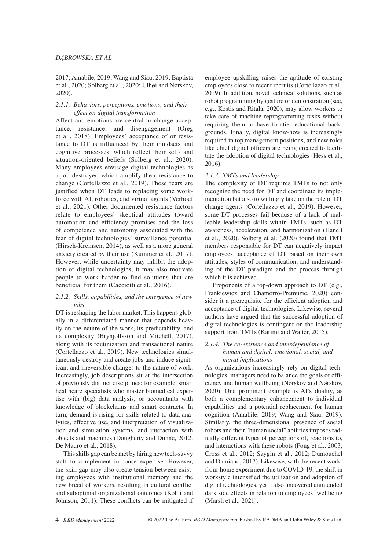2017; Amabile, 2019; Wang and Siau, 2019; Baptista et al., 2020; Solberg et al., 2020; Ulhøi and Nørskov, 2020).

## *2.1.1. Behaviors, perceptions, emotions, and their effect on digital transformation*

Affect and emotions are central to change acceptance, resistance, and disengagement (Oreg et al., 2018). Employees' acceptance of or resistance to DT is influenced by their mindsets and cognitive processes, which reflect their self- and situation-oriented beliefs (Solberg et al., 2020). Many employees envisage digital technologies as a job destroyer, which amplify their resistance to change (Cortellazzo et al., 2019). These fears are justified when DT leads to replacing some workforce with AI, robotics, and virtual agents (Verhoef et al., 2021). Other documented resistance factors relate to employees' skeptical attitudes toward automation and efficiency promises and the loss of competence and autonomy associated with the fear of digital technologies' surveillance potential (Hirsch-Kreinsen, 2014), as well as a more general anxiety created by their use (Kummer et al., 2017). However, while uncertainty may inhibit the adoption of digital technologies, it may also motivate people to work harder to find solutions that are beneficial for them (Cacciotti et al., 2016).

## *2.1.2. Skills, capabilities, and the emergence of new jobs*

DT is reshaping the labor market. This happens globally in a differentiated manner that depends heavily on the nature of the work, its predictability, and its complexity (Brynjolfsson and Mitchell, 2017), along with its routinization and transactional nature (Cortellazzo et al., 2019). New technologies simultaneously destroy and create jobs and induce significant and irreversible changes to the nature of work. Increasingly, job descriptions sit at the intersection of previously distinct disciplines: for example, smart healthcare specialists who master biomedical expertise with (big) data analysis, or accountants with knowledge of blockchains and smart contracts. In turn, demand is rising for skills related to data analytics, effective use, and interpretation of visualization and simulation systems, and interaction with objects and machines (Dougherty and Dunne, 2012; De Mauro et al., 2018).

This skills gap can be met by hiring new tech-savvy staff to complement in-house expertise. However, the skill gap may also create tension between existing employees with institutional memory and the new breed of workers, resulting in cultural conflict and suboptimal organizational outcomes (Kohli and Johnson, 2011). These conflicts can be mitigated if employee upskilling raises the aptitude of existing employees close to recent recruits (Cortellazzo et al., 2019). In addition, novel technical solutions, such as robot programming by gesture or demonstration (see, e.g., Kostis and Ritala, 2020), may allow workers to take care of machine reprogramming tasks without requiring them to have frontier educational backgrounds. Finally, digital know-how is increasingly required in top management positions, and new roles like chief digital officers are being created to facilitate the adoption of digital technologies (Hess et al., 2016).

## *2.1.3. TMTs and leadership*

The complexity of DT requires TMTs to not only recognize the need for DT and coordinate its implementation but also to willingly take on the role of DT change agents (Cortellazzo et al., 2019). However, some DT processes fail because of a lack of malleable leadership skills within TMTs, such as DT awareness, acceleration, and harmonization (Hanelt et al., 2020). Solberg et al. (2020) found that TMT members responsible for DT can negatively impact employees' acceptance of DT based on their own attitudes, styles of communication, and understanding of the DT paradigm and the process through which it is achieved.

Proponents of a top-down approach to DT (e.g., Frankiewicz and Chamorro-Premuzic, 2020) consider it a prerequisite for the efficient adoption and acceptance of digital technologies. Likewise, several authors have argued that the successful adoption of digital technologies is contingent on the leadership support from TMTs (Karimi and Walter, 2015).

## *2.1.4. The co-existence and interdependence of human and digital: emotional, social, and moral implications*

As organizations increasingly rely on digital technologies, managers need to balance the goals of efficiency and human wellbeing (Nørskov and Nørskov, 2020). One prominent example is AI's duality, as both a complementary enhancement to individual capabilities and a potential replacement for human cognition (Amabile, 2019; Wang and Siau, 2019). Similarly, the three-dimensional presence of social robots and their "human social" abilities imposes radically different types of perceptions of, reactions to, and interactions with these robots (Fong et al., 2003; Cross et al., 2012; Saygin et al., 2012; Dumouchel and Damiano, 2017). Likewise, with the recent workfrom-home experiment due to COVID-19, the shift in workstyle intensified the utilization and adoption of digital technologies, yet it also uncovered unintended dark side effects in relation to employees' wellbeing (Marsh et al., 2021).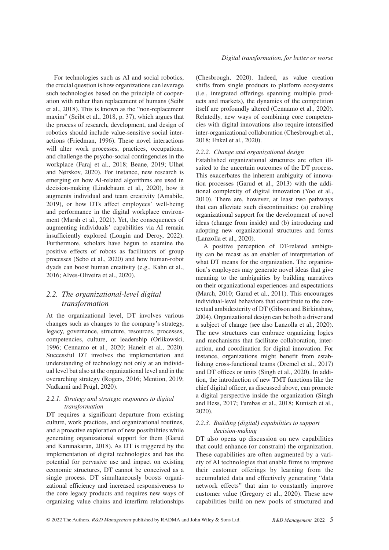For technologies such as AI and social robotics, the crucial question is how organizations can leverage such technologies based on the principle of cooperation with rather than replacement of humans (Seibt et al., 2018). This is known as the "non-replacement maxim" (Seibt et al., 2018, p. 37), which argues that the process of research, development, and design of robotics should include value-sensitive social interactions (Friedman, 1996). These novel interactions will alter work processes, practices, occupations, and challenge the psycho-social contingencies in the workplace (Faraj et al., 2018; Beane, 2019; Ulhøi and Nørskov, 2020). For instance, new research is emerging on how AI-related algorithms are used in decision-making (Lindebaum et al., 2020), how it augments individual and team creativity (Amabile, 2019), or how DTs affect employees' well-being and performance in the digital workplace environment (Marsh et al., 2021). Yet, the consequences of augmenting individuals' capabilities via AI remain insufficiently explored (Longin and Deroy, 2022). Furthermore, scholars have begun to examine the positive effects of robots as facilitators of group processes (Sebo et al., 2020) and how human-robot dyads can boost human creativity (e.g., Kahn et al., 2016; Alves-Oliveira et al., 2020).

# *2.2. The organizational-level digital transformation*

At the organizational level, DT involves various changes such as changes to the company's strategy, legacy, governance, structure, resources, processes, competencies, culture, or leadership (Orlikowski, 1996; Cennamo et al., 2020; Hanelt et al., 2020). Successful DT involves the implementation and understanding of technology not only at an individual level but also at the organizational level and in the overarching strategy (Rogers, 2016; Mention, 2019; Nadkarni and Prügl, 2020).

## *2.2.1. Strategy and strategic responses to digital transformation*

DT requires a significant departure from existing culture, work practices, and organizational routines, and a proactive exploration of new possibilities while generating organizational support for them (Garud and Karunakaran, 2018). As DT is triggered by the implementation of digital technologies and has the potential for pervasive use and impact on existing economic structures, DT cannot be conceived as a single process. DT simultaneously boosts organizational efficiency and increased responsiveness to the core legacy products and requires new ways of organizing value chains and interfirm relationships

(Chesbrough, 2020). Indeed, as value creation shifts from single products to platform ecosystems (i.e., integrated offerings spanning multiple products and markets), the dynamics of the competition itself are profoundly altered (Cennamo et al., 2020). Relatedly, new ways of combining core competencies with digital innovations also require intensified inter-organizational collaboration (Chesbrough et al., 2018; Enkel et al., 2020).

#### *2.2.2. Change and organizational design*

Established organizational structures are often illsuited to the uncertain outcomes of the DT process. This exacerbates the inherent ambiguity of innovation processes (Garud et al., 2013) with the additional complexity of digital innovation (Yoo et al., 2010). There are, however, at least two pathways that can alleviate such discontinuities: (a) enabling organizational support for the development of novel ideas (change from inside) and (b) introducing and adopting new organizational structures and forms (Lanzolla et al., 2020).

A positive perception of DT-related ambiguity can be recast as an enabler of interpretation of what DT means for the organization. The organization's employees may generate novel ideas that give meaning to the ambiguities by building narratives on their organizational experiences and expectations (March, 2010; Garud et al., 2011). This encourages individual-level behaviors that contribute to the contextual ambidexterity of DT (Gibson and Birkinshaw, 2004). Organizational design can be both a driver and a subject of change (see also Lanzolla et al., 2020). The new structures can embrace organizing logics and mechanisms that facilitate collaboration, interaction, and coordination for digital innovation. For instance, organizations might benefit from establishing cross-functional teams (Dremel et al., 2017) and DT offices or units (Singh et al., 2020). In addition, the introduction of new TMT functions like the chief digital officer, as discussed above, can promote a digital perspective inside the organization (Singh and Hess, 2017; Tumbas et al., 2018; Kunisch et al., 2020).

### *2.2.3. Building (digital) capabilities to support decision-making*

DT also opens up discussion on new capabilities that could enhance (or constrain) the organization. These capabilities are often augmented by a variety of AI technologies that enable firms to improve their customer offerings by learning from the accumulated data and effectively generating "data network effects" that aim to constantly improve customer value (Gregory et al., 2020). These new capabilities build on new pools of structured and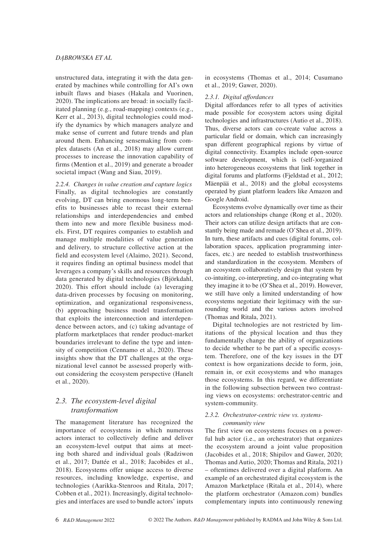unstructured data, integrating it with the data generated by machines while controlling for AI's own inbuilt flaws and biases (Hakala and Vuorinen, 2020). The implications are broad: in socially facilitated planning (e.g., road-mapping) contexts (e.g., Kerr et al., 2013), digital technologies could modify the dynamics by which managers analyze and make sense of current and future trends and plan around them. Enhancing sensemaking from complex datasets (An et al., 2018) may allow current processes to increase the innovation capability of firms (Mention et al., 2019) and generate a broader societal impact (Wang and Siau, 2019).

*2.2.4. Changes in value creation and capture logics* Finally, as digital technologies are constantly evolving, DT can bring enormous long-term benefits to businesses able to recast their external relationships and interdependencies and embed them into new and more flexible business models. First, DT requires companies to establish and manage multiple modalities of value generation and delivery, to structure collective action at the field and ecosystem level (Alaimo, 2021). Second, it requires finding an optimal business model that leverages a company's skills and resources through data generated by digital technologies (Björkdahl, 2020). This effort should include (a) leveraging data-driven processes by focusing on monitoring, optimization, and organizational responsiveness, (b) approaching business model transformation that exploits the interconnection and interdependence between actors, and (c) taking advantage of platform marketplaces that render product-market boundaries irrelevant to define the type and intensity of competition (Cennamo et al., 2020). These insights show that the DT challenges at the organizational level cannot be assessed properly without considering the ecosystem perspective (Hanelt et al., 2020).

## *2.3. The ecosystem-level digital transformation*

The management literature has recognized the importance of ecosystems in which numerous actors interact to collectively define and deliver an ecosystem-level output that aims at meeting both shared and individual goals (Radziwon et al., 2017; Dattée et al., 2018; Jacobides et al., 2018). Ecosystems offer unique access to diverse resources, including knowledge, expertise, and technologies (Aarikka-Stenroos and Ritala, 2017; Cobben et al., 2021). Increasingly, digital technologies and interfaces are used to bundle actors' inputs

in ecosystems (Thomas et al., 2014; Cusumano et al., 2019; Gawer, 2020).

### *2.3.1. Digital affordances*

Digital affordances refer to all types of activities made possible for ecosystem actors using digital technologies and infrastructures (Autio et al., 2018). Thus, diverse actors can co-create value across a particular field or domain, which can increasingly span different geographical regions by virtue of digital connectivity. Examples include open-source software development, which is (self-)organized into heterogeneous ecosystems that link together in digital forums and platforms (Fjeldstad et al., 2012; Mäenpää et al., 2018) and the global ecosystems operated by giant platform leaders like Amazon and Google Android.

Ecosystems evolve dynamically over time as their actors and relationships change (Rong et al., 2020). Their actors can utilize design artifacts that are constantly being made and remade (O'Shea et al., 2019). In turn, these artifacts and cues (digital forums, collaboration spaces, application programming interfaces, etc.) are needed to establish trustworthiness and standardization in the ecosystem. Members of an ecosystem collaboratively design that system by co-intuiting, co-interpreting, and co-integrating what they imagine it to be (O'Shea et al., 2019). However, we still have only a limited understanding of how ecosystems negotiate their legitimacy with the surrounding world and the various actors involved (Thomas and Ritala, 2021).

Digital technologies are not restricted by limitations of the physical location and thus they fundamentally change the ability of organizations to decide whether to be part of a specific ecosystem. Therefore, one of the key issues in the DT context is how organizations decide to form, join, remain in, or exit ecosystems and who manages those ecosystems. In this regard, we differentiate in the following subsection between two contrasting views on ecosystems: orchestrator-centric and system-community.

#### *2.3.2. Orchestrator-centric view vs. systemscommunity view*

The first view on ecosystems focuses on a powerful hub actor (i.e., an orchestrator) that organizes the ecosystem around a joint value proposition (Jacobides et al., 2018; Shipilov and Gawer, 2020; Thomas and Autio, 2020; Thomas and Ritala, 2021) – oftentimes delivered over a digital platform. An example of an orchestrated digital ecosystem is the Amazon Marketplace (Ritala et al., 2014), where the platform orchestrator (Amazon.com) bundles complementary inputs into continuously renewing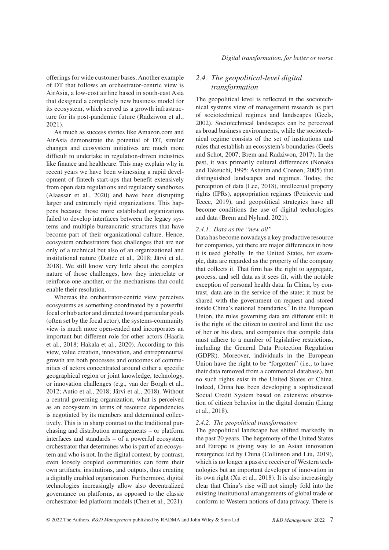*Digital transformation, for better or worse*

offerings for wide customer bases. Another example of DT that follows an orchestrator-centric view is AirAsia, a low-cost airline based in south-east Asia that designed a completely new business model for its ecosystem, which served as a growth infrastructure for its post-pandemic future (Radziwon et al., 2021).

As much as success stories like Amazon.com and AirAsia demonstrate the potential of DT, similar changes and ecosystem initiatives are much more difficult to undertake in regulation-driven industries like finance and healthcare. This may explain why in recent years we have been witnessing a rapid development of fintech start-ups that benefit extensively from open data regulations and regulatory sandboxes (Alaassar et al., 2020) and have been disrupting larger and extremely rigid organizations. This happens because those more established organizations failed to develop interfaces between the legacy systems and multiple bureaucratic structures that have become part of their organizational culture. Hence, ecosystem orchestrators face challenges that are not only of a technical but also of an organizational and institutional nature (Dattée et al., 2018; Järvi et al., 2018). We still know very little about the complex nature of those challenges, how they interrelate or reinforce one another, or the mechanisms that could enable their resolution.

Whereas the orchestrator-centric view perceives ecosystems as something coordinated by a powerful focal or hub actor and directed toward particular goals (often set by the focal actor), the systems-community view is much more open-ended and incorporates an important but different role for other actors (Haarla et al., 2018; Hakala et al., 2020). According to this view, value creation, innovation, and entrepreneurial growth are both processes and outcomes of communities of actors concentrated around either a specific geographical region or joint knowledge, technology, or innovation challenges (e.g., van der Borgh et al., 2012; Autio et al., 2018; Järvi et al., 2018). Without a central governing organization, what is perceived as an ecosystem in terms of resource dependencies is negotiated by its members and determined collectively. This is in sharp contrast to the traditional purchasing and distribution arrangements – or platform interfaces and standards – of a powerful ecosystem orchestrator that determines who is part of an ecosystem and who is not. In the digital context, by contrast, even loosely coupled communities can form their own artifacts, institutions, and outputs, thus creating a digitally enabled organization. Furthermore, digital technologies increasingly allow also decentralized governance on platforms, as opposed to the classic orchestrator-led platform models (Chen et al., 2021).

# *2.4. The geopolitical-level digital transformation*

The geopolitical level is reflected in the sociotechnical systems view of management research as part of sociotechnical regimes and landscapes (Geels, 2002). Sociotechnical landscapes can be perceived as broad business environments, while the sociotechnical regime consists of the set of institutions and rules that establish an ecosystem's boundaries (Geels and Schot, 2007; Brem and Radziwon, 2017). In the past, it was primarily cultural differences (Nonaka and Takeuchi, 1995; Asheim and Coenen, 2005) that distinguished landscapes and regimes. Today, the perception of data (Lee, 2018), intellectual property rights (IPRs), appropriation regimes (Petricevic and Teece, 2019), and geopolitical strategies have all become conditions the use of digital technologies and data (Brem and Nylund, 2021).

#### *2.4.1. Data as the "new oil"*

Data has become nowadays a key productive resource for companies, yet there are major differences in how it is used globally. In the United States, for example, data are regarded as the property of the company that collects it. That firm has the right to aggregate, process, and sell data as it sees fit, with the notable exception of personal health data. In China, by contrast, data are in the service of the state; it must be shared with the government on request and stored inside China's national boundaries. $2^2$  In the European Union, the rules governing data are different still: it is the right of the citizen to control and limit the use of her or his data, and companies that compile data must adhere to a number of legislative restrictions, including the General Data Protection Regulation (GDPR). Moreover, individuals in the European Union have the right to be "forgotten" (i.e., to have their data removed from a commercial database), but no such rights exist in the United States or China. Indeed, China has been developing a sophisticated Social Credit System based on extensive observation of citizen behavior in the digital domain (Liang et al., 2018).

## *2.4.2. The geopolitical transformation*

The geopolitical landscape has shifted markedly in the past 20 years. The hegemony of the United States and Europe is giving way to an Asian innovation resurgence led by China (Collinson and Liu, 2019), which is no longer a passive receiver of Western technologies but an important developer of innovation in its own right (Xu et al., 2018). It is also increasingly clear that China's rise will not simply fold into the existing institutional arrangements of global trade or conform to Western notions of data privacy. There is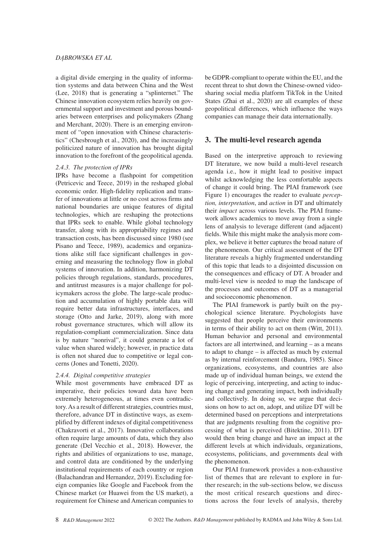a digital divide emerging in the quality of information systems and data between China and the West (Lee, 2018) that is generating a "splinternet." The Chinese innovation ecosystem relies heavily on governmental support and investment and porous boundaries between enterprises and policymakers (Zhang and Merchant, 2020). There is an emerging environment of "open innovation with Chinese characteristics" (Chesbrough et al., 2020), and the increasingly politicized nature of innovation has brought digital innovation to the forefront of the geopolitical agenda.

#### *2.4.3. The protection of IPRs*

IPRs have become a flashpoint for competition (Petricevic and Teece, 2019) in the reshaped global economic order. High-fidelity replication and transfer of innovations at little or no cost across firms and national boundaries are unique features of digital technologies, which are reshaping the protections that IPRs seek to enable. While global technology transfer, along with its appropriability regimes and transaction costs, has been discussed since 1980 (see Pisano and Teece, 1989), academics and organizations alike still face significant challenges in governing and measuring the technology flow in global systems of innovation. In addition, harmonizing DT policies through regulations, standards, procedures, and antitrust measures is a major challenge for policymakers across the globe. The large-scale production and accumulation of highly portable data will require better data infrastructures, interfaces, and storage (Otto and Jarke, 2019), along with more robust governance structures, which will allow its regulation-compliant commercialization. Since data is by nature "nonrival", it could generate a lot of value when shared widely; however, in practice data is often not shared due to competitive or legal concerns (Jones and Tonetti, 2020).

#### *2.4.4. Digital competitive strategies*

While most governments have embraced DT as imperative, their policies toward data have been extremely heterogeneous, at times even contradictory. As a result of different strategies, countries must, therefore, advance DT in distinctive ways, as exemplified by different indexes of digital competitiveness (Chakravorti et al., 2017). Innovative collaborations often require large amounts of data, which they also generate (Del Vecchio et al., 2018). However, the rights and abilities of organizations to use, manage, and control data are conditioned by the underlying institutional requirements of each country or region (Balachandran and Hernandez, 2019). Excluding foreign companies like Google and Facebook from the Chinese market (or Huawei from the US market), a requirement for Chinese and American companies to

be GDPR-compliant to operate within the EU, and the recent threat to shut down the Chinese-owned videosharing social media platform TikTok in the United States (Zhai et al., 2020) are all examples of these geopolitical differences, which influence the ways companies can manage their data internationally.

## **3. The multi-level research agenda**

Based on the interpretive approach to reviewing DT literature, we now build a multi-level research agenda i.e., how it might lead to positive impact whilst acknowledging the less comfortable aspects of change it could bring. The PIAI framework (see Figure 1) encourages the reader to evaluate *perception, interpretation*, and *action* in DT and ultimately their *impact* across various levels. The PIAI framework allows academics to move away from a single lens of analysis to leverage different (and adjacent) fields. While this might make the analysis more complex, we believe it better captures the broad nature of the phenomenon. Our critical assessment of the DT literature reveals a highly fragmented understanding of this topic that leads to a disjointed discussion on the consequences and efficacy of DT. A broader and multi-level view is needed to map the landscape of the processes and outcomes of DT as a managerial and socioeconomic phenomenon.

The PIAI framework is partly built on the psychological science literature. Psychologists have suggested that people perceive their environments in terms of their ability to act on them (Witt, 2011). Human behavior and personal and environmental factors are all intertwined, and learning – as a means to adapt to change – is affected as much by external as by internal reinforcement (Bandura, 1985). Since organizations, ecosystems, and countries are also made up of individual human beings, we extend the logic of perceiving, interpreting, and acting to inducing change and generating impact, both individually and collectively. In doing so, we argue that decisions on how to act on, adopt, and utilize DT will be determined based on perceptions and interpretations that are judgments resulting from the cognitive processing of what is perceived (Bitektine, 2011). DT would then bring change and have an impact at the different levels at which individuals, organizations, ecosystems, politicians, and governments deal with the phenomenon.

Our PIAI framework provides a non-exhaustive list of themes that are relevant to explore in further research; in the sub-sections below, we discuss the most critical research questions and directions across the four levels of analysis, thereby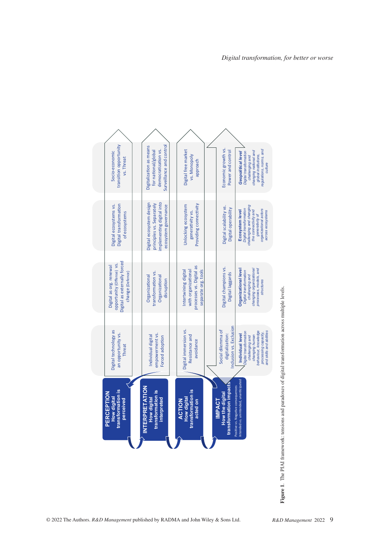

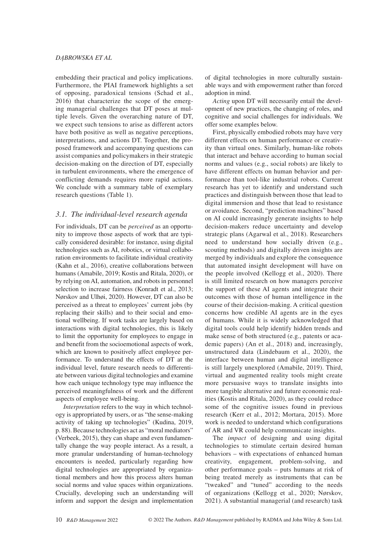embedding their practical and policy implications. Furthermore, the PIAI framework highlights a set of opposing, paradoxical tensions (Schad et al., 2016) that characterize the scope of the emerging managerial challenges that DT poses at multiple levels. Given the overarching nature of DT, we expect such tensions to arise as different actors have both positive as well as negative perceptions, interpretations, and actions DT. Together, the proposed framework and accompanying questions can assist companies and policymakers in their strategic decision-making on the direction of DT, especially in turbulent environments, where the emergence of conflicting demands requires more rapid actions. We conclude with a summary table of exemplary research questions (Table 1).

## *3.1. The individual-level research agenda*

For individuals, DT can be *perceived* as an opportunity to improve those aspects of work that are typically considered desirable: for instance, using digital technologies such as AI, robotics, or virtual collaboration environments to facilitate individual creativity (Kahn et al., 2016), creative collaborations between humans (Amabile, 2019; Kostis and Ritala, 2020), or by relying on AI, automation, and robots in personnel selection to increase fairness (Konradt et al., 2013; Nørskov and Ulhøi, 2020). However, DT can also be perceived as a threat to employees' current jobs (by replacing their skills) and to their social and emotional wellbeing. If work tasks are largely based on interactions with digital technologies, this is likely to limit the opportunity for employees to engage in and benefit from the socioemotional aspects of work, which are known to positively affect employee performance. To understand the effects of DT at the individual level, future research needs to differentiate between various digital technologies and examine how each unique technology type may influence the perceived meaningfulness of work and the different aspects of employee well-being.

*Interpretation* refers to the way in which technology is appropriated by users, or as "the sense-making activity of taking up technologies" (Kudina, 2019, p. 88). Because technologies act as "moral mediators" (Verbeek, 2015), they can shape and even fundamentally change the way people interact. As a result, a more granular understanding of human-technology encounters is needed, particularly regarding how digital technologies are appropriated by organizational members and how this process alters human social norms and value spaces within organizations. Crucially, developing such an understanding will inform and support the design and implementation

of digital technologies in more culturally sustainable ways and with empowerment rather than forced adoption in mind.

*Acting* upon DT will necessarily entail the development of new practices, the changing of roles, and cognitive and social challenges for individuals. We offer some examples below.

First, physically embodied robots may have very different effects on human performance or creativity than virtual ones. Similarly, human-like robots that interact and behave according to human social norms and values (e.g., social robots) are likely to have different effects on human behavior and performance than tool-like industrial robots. Current research has yet to identify and understand such practices and distinguish between those that lead to digital immersion and those that lead to resistance or avoidance. Second, "prediction machines" based on AI could increasingly generate insights to help decision-makers reduce uncertainty and develop strategic plans (Agarwal et al., 2018). Researchers need to understand how socially driven (e.g., scouting methods) and digitally driven insights are merged by individuals and explore the consequence that automated insight development will have on the people involved (Kellogg et al., 2020). There is still limited research on how managers perceive the support of these AI agents and integrate their outcomes with those of human intelligence in the course of their decision-making. A critical question concerns how credible AI agents are in the eyes of humans. While it is widely acknowledged that digital tools could help identify hidden trends and make sense of both structured (e.g., patents or academic papers) (An et al., 2018) and, increasingly, unstructured data (Lindebaum et al., 2020), the interface between human and digital intelligence is still largely unexplored (Amabile, 2019). Third, virtual and augmented reality tools might create more persuasive ways to translate insights into more tangible alternative and future economic realities (Kostis and Ritala, 2020), as they could reduce some of the cognitive issues found in previous research (Kerr et al., 2012; Mortara, 2015). More work is needed to understand which configurations of AR and VR could help communicate insights.

The *impact* of designing and using digital technologies to stimulate certain desired human behaviors – with expectations of enhanced human creativity, engagement, problem-solving, and other performance goals – puts humans at risk of being treated merely as instruments that can be "tweaked" and "tuned" according to the needs of organizations (Kellogg et al., 2020; Nørskov, 2021). A substantial managerial (and research) task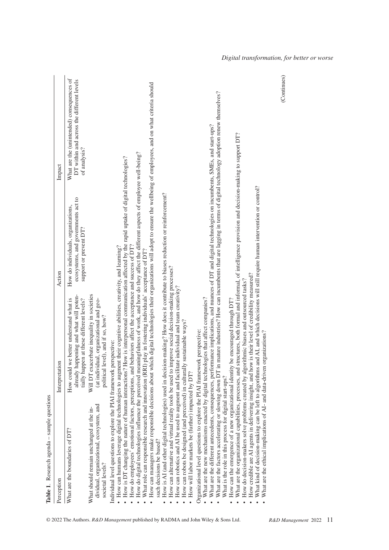| Table 1. Research agenda - sample questions                                                                                                                                                                                  |                                                                                                                                                                                                                                                                                                                                                                                                                                               |                                                                                                                  |                                                                                                        |
|------------------------------------------------------------------------------------------------------------------------------------------------------------------------------------------------------------------------------|-----------------------------------------------------------------------------------------------------------------------------------------------------------------------------------------------------------------------------------------------------------------------------------------------------------------------------------------------------------------------------------------------------------------------------------------------|------------------------------------------------------------------------------------------------------------------|--------------------------------------------------------------------------------------------------------|
| Perception                                                                                                                                                                                                                   | Interpretation                                                                                                                                                                                                                                                                                                                                                                                                                                | Action                                                                                                           | Impact                                                                                                 |
| What are the boundaries of DT?                                                                                                                                                                                               | already happening and what will poten-<br>How could we better understand what is<br>tially happen at these different levels?                                                                                                                                                                                                                                                                                                                  | ecosystems, and governments act to<br>How do individuals, organizations,<br>support or prevent DT?               | What are the (unintended) consequences of<br>DT within and across the different levels<br>of analysis? |
| dividual, organizational, ecosystem, and<br>What should remain unchanged at the in-<br>societal levels?                                                                                                                      | Will DT exacerbate inequality in societies<br>(at individual, organizational and geo-<br>political level), and if so, how?                                                                                                                                                                                                                                                                                                                    |                                                                                                                  |                                                                                                        |
| · How can humans leverage digital technologies to augment their cognitive abilities, creativity, and learning?<br>Individual level questions to explore the PIAI framework perspective:                                      | How is DT changing the nature of human interactions? How is interpersonal communication affected by the rapid uptake of digital technologies?<br>How do employees' emotional factors, perceptions, and behaviors affect the acceptance and success of DT?                                                                                                                                                                                     |                                                                                                                  |                                                                                                        |
| such decisions be based?                                                                                                                                                                                                     | How can managers make responsible decisions about which digital technologies their organizations will adopt to ensure the wellbeing of employees, and on what criteria should<br>How do digital technologies influence the perceived meaningfulness of work, and how do they affect the different aspects of employee well-being?<br>What role can responsible research and innovation (RRI) play in fostering individuals' acceptance of DT? |                                                                                                                  |                                                                                                        |
| How can robots be designed (and perceived) in culturally sustainable ways?<br>How will labor markets be (further) impacted by DT?                                                                                            | How is AI (and other digital technologies) used in decision-making? How does it contribute to biases reduction or reinforcement?<br>How can alternative and virtual reality tools be used to improve social decision-making processes?<br>How can robotics and AI be used to augment and facilitate individual and team creativity?                                                                                                           |                                                                                                                  |                                                                                                        |
| What are the new mechanisms enacted by digital technologies that affect companies?<br>Organizational level questions to explore the PIAI framework perspective:<br>What are the factors accelerating or slowing down DT in n | What are the different antecedents, consequences, performance implications, and nuances of DT and digital technologies on incumbents, SMEs, and start-ups?                                                                                                                                                                                                                                                                                    | nature industries? How can incumbents that are lagging in terms of digital technology adoption renew themselves? |                                                                                                        |
| How can the emergence of a new organizational identity be encouraged through DT?<br>What is the role in this process for digital start-ups?                                                                                  | What are the organizational capabilities, processes, and structures, both formal and informal, of intelligence provision and decision-making to support DT?<br>How do decision-makers solve problems created by algorithmic biases and outsourced tasks?                                                                                                                                                                                      |                                                                                                                  |                                                                                                        |
| What are the ethical implications of AI- and data-driven organizations?<br>How credible are AI agents in delivering insight, and how i                                                                                       | What kind of decision-making can be left to algorithms and AI, and which decisions will still require human intervention or control?<br>is their level of credibility measured?                                                                                                                                                                                                                                                               |                                                                                                                  |                                                                                                        |
|                                                                                                                                                                                                                              |                                                                                                                                                                                                                                                                                                                                                                                                                                               |                                                                                                                  | (Continues)                                                                                            |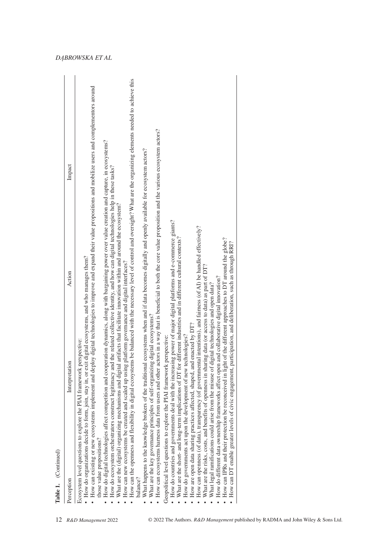|                           | Interpretation                                                                                                                                                                                                                                                                                                                                                                                     | Action                                                                                                                                                            | Impact                                                                                                                                                                            |
|---------------------------|----------------------------------------------------------------------------------------------------------------------------------------------------------------------------------------------------------------------------------------------------------------------------------------------------------------------------------------------------------------------------------------------------|-------------------------------------------------------------------------------------------------------------------------------------------------------------------|-----------------------------------------------------------------------------------------------------------------------------------------------------------------------------------|
|                           | How do organizations decide to form, join, stay in, or exit digital ecosystems, and who manages them?<br>Ecosystem level questions to explore the PIAI framework perspective:                                                                                                                                                                                                                      |                                                                                                                                                                   | How can existing or new ecosystems implement and deploy digital technologies to improve and expand their value propositions and mobilize users and complementors around           |
| those value propositions? | How do digital technologies affect competition and cooperation dynamics, along with bargaining power over value creation and capture, in ecosystems?<br>What are the (digital) organizing mechanisms and digital<br>How do ecosystem orchestrators construct legitimacy an                                                                                                                         | d the related collective identity, and how can digital technologies help in these tasks?<br>artifacts that facilitate innovation within and around the ecosystem? |                                                                                                                                                                                   |
| balance?                  | How can new ecosystems be created and scaled up using platform governance and digital interfaces?                                                                                                                                                                                                                                                                                                  |                                                                                                                                                                   | How can the openness and flexibility in digital ecosystems be balanced with the necessary level of control and oversight? What are the organizing elements needed to achieve this |
|                           | How can ecosystems harness data from users and other actors in a way that is beneficial to both the core value proposition and the various ecosystem actors?<br>What happens to the knowledge brokers of the traditional ecosystems when and if data becomes digitally and openly available for ecosystem actors?<br>What are the key governance principles of self-organizing digital ecosystems? |                                                                                                                                                                   |                                                                                                                                                                                   |
|                           | How do countries and governments deal with the increasing power of major digital platforms and e-commerce giants?<br>Geopolitical level questions to explore the PIAI framework perspective:                                                                                                                                                                                                       |                                                                                                                                                                   |                                                                                                                                                                                   |
|                           | What are the short- and long-term implications of DT for different industries and in different cultural contexts?<br>How do governments act upon the development of new technologies?                                                                                                                                                                                                              |                                                                                                                                                                   |                                                                                                                                                                                   |
|                           | How are open data sharing practices affected, shaped, and enacted by DT?                                                                                                                                                                                                                                                                                                                           |                                                                                                                                                                   |                                                                                                                                                                                   |
|                           | How can openness (of data), transparency (of governmental intentions), and fairness (of AI) be handled effectively?                                                                                                                                                                                                                                                                                |                                                                                                                                                                   |                                                                                                                                                                                   |
|                           | What are the risks, costs, and benefits of openness in sharing data (or access to data) as part of DT?                                                                                                                                                                                                                                                                                             |                                                                                                                                                                   |                                                                                                                                                                                   |
|                           | How do different data ownership frameworks affect open and collaborative digital innovation?<br>What legal ramifications could arise from the misuse of digital technologies and open data?                                                                                                                                                                                                        |                                                                                                                                                                   |                                                                                                                                                                                   |
|                           | How can IPRs and their protection be reconceived in light of the different approaches to DT around the globe?                                                                                                                                                                                                                                                                                      |                                                                                                                                                                   |                                                                                                                                                                                   |
|                           | How can DT enable greater levels of civic engagement,                                                                                                                                                                                                                                                                                                                                              | participation, and deliberation, such as through RRI?                                                                                                             |                                                                                                                                                                                   |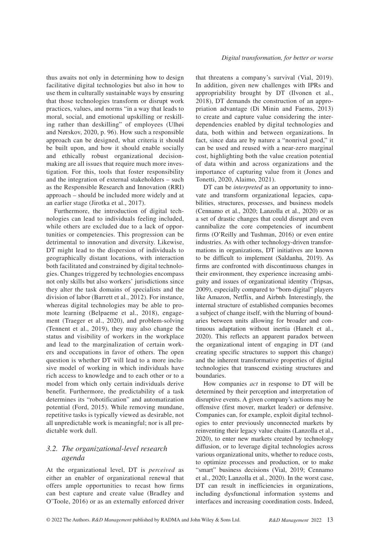thus awaits not only in determining how to design facilitative digital technologies but also in how to use them in culturally sustainable ways by ensuring that those technologies transform or disrupt work practices, values, and norms "in a way that leads to moral, social, and emotional upskilling or reskilling rather than deskilling" of employees (Ulhøi and Nørskov, 2020, p. 96). How such a responsible approach can be designed, what criteria it should be built upon, and how it should enable socially and ethically robust organizational decisionmaking are all issues that require much more investigation. For this, tools that foster responsibility and the integration of external stakeholders – such as the Responsible Research and Innovation (RRI) approach – should be included more widely and at an earlier stage (Jirotka et al., 2017).

Furthermore, the introduction of digital technologies can lead to individuals feeling included, while others are excluded due to a lack of opportunities or competencies. This progression can be detrimental to innovation and diversity. Likewise, DT might lead to the dispersion of individuals to geographically distant locations, with interaction both facilitated and constrained by digital technologies. Changes triggered by technologies encompass not only skills but also workers' jurisdictions since they alter the task domains of specialists and the division of labor (Barrett et al., 2012). For instance, whereas digital technologies may be able to promote learning (Belpaeme et al., 2018), engagement (Traeger et al., 2020), and problem-solving (Tennent et al., 2019), they may also change the status and visibility of workers in the workplace and lead to the marginalization of certain workers and occupations in favor of others. The open question is whether DT will lead to a more inclusive model of working in which individuals have rich access to knowledge and to each other or to a model from which only certain individuals derive benefit. Furthermore, the predictability of a task determines its "robotification" and automatization potential (Ford, 2015). While removing mundane, repetitive tasks is typically viewed as desirable, not all unpredictable work is meaningful; nor is all predictable work dull.

# *3.2. The organizational-level research agenda*

At the organizational level, DT is *perceived* as either an enabler of organizational renewal that offers ample opportunities to recast how firms can best capture and create value (Bradley and O'Toole, 2016) or as an externally enforced driver that threatens a company's survival (Vial, 2019). In addition, given new challenges with IPRs and appropriability brought by DT (Ilvonen et al., 2018), DT demands the construction of an appropriation advantage (Di Minin and Faems, 2013) to create and capture value considering the interdependencies enabled by digital technologies and data, both within and between organizations. In fact, since data are by nature a "nonrival good," it can be used and reused with a near-zero marginal cost, highlighting both the value creation potential of data within and across organizations and the importance of capturing value from it (Jones and Tonetti, 2020, Alaimo, 2021).

DT can be *interpreted* as an opportunity to innovate and transform organizational legacies, capabilities, structures, processes, and business models (Cennamo et al., 2020; Lanzolla et al., 2020) or as a set of drastic changes that could disrupt and even cannibalize the core competencies of incumbent firms (O'Reilly and Tushman, 2016) or even entire industries. As with other technology-driven transformations in organizations, DT initiatives are known to be difficult to implement (Saldanha, 2019). As firms are confronted with discontinuous changes in their environment, they experience increasing ambiguity and issues of organizational identity (Tripsas, 2009), especially compared to "born-digital" players like Amazon, Netflix, and Airbnb. Interestingly, the internal structure of established companies becomes a subject of change itself, with the blurring of boundaries between units allowing for broader and continuous adaptation without inertia (Hanelt et al., 2020). This reflects an apparent paradox between the organizational intent of engaging in DT (and creating specific structures to support this change) and the inherent transformative properties of digital technologies that transcend existing structures and boundaries.

How companies *act* in response to DT will be determined by their perception and interpretation of disruptive events. A given company's actions may be offensive (first mover, market leader) or defensive. Companies can, for example, exploit digital technologies to enter previously unconnected markets by reinventing their legacy value chains (Lanzolla et al., 2020), to enter new markets created by technology diffusion, or to leverage digital technologies across various organizational units, whether to reduce costs, to optimize processes and production, or to make "smart" business decisions (Vial, 2019; Cennamo et al., 2020; Lanzolla et al., 2020). In the worst case, DT can result in inefficiencies in organizations, including dysfunctional information systems and interfaces and increasing coordination costs. Indeed,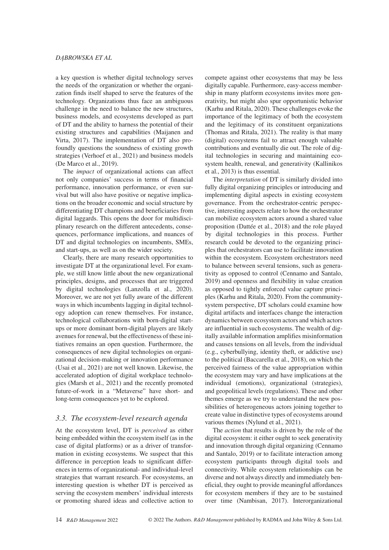a key question is whether digital technology serves the needs of the organization or whether the organization finds itself shaped to serve the features of the technology. Organizations thus face an ambiguous challenge in the need to balance the new structures, business models, and ecosystems developed as part of DT and the ability to harness the potential of their existing structures and capabilities (Maijanen and Virta, 2017). The implementation of DT also profoundly questions the soundness of existing growth strategies (Verhoef et al., 2021) and business models (De Marco et al., 2019).

The *impact* of organizational actions can affect not only companies' success in terms of financial performance, innovation performance, or even survival but will also have positive or negative implications on the broader economic and social structure by differentiating DT champions and beneficiaries from digital laggards. This opens the door for multidisciplinary research on the different antecedents, consequences, performance implications, and nuances of DT and digital technologies on incumbents, SMEs, and start-ups, as well as on the wider society.

Clearly, there are many research opportunities to investigate DT at the organizational level. For example, we still know little about the new organizational principles, designs, and processes that are triggered by digital technologies (Lanzolla et al., 2020). Moreover, we are not yet fully aware of the different ways in which incumbents lagging in digital technology adoption can renew themselves. For instance, technological collaborations with born-digital startups or more dominant born-digital players are likely avenues for renewal, but the effectiveness of these initiatives remains an open question. Furthermore, the consequences of new digital technologies on organizational decision-making or innovation performance (Usai et al., 2021) are not well known. Likewise, the accelerated adoption of digital workplace technologies (Marsh et al., 2021) and the recently promoted future-of-work in a "Metaverse" have short- and long-term consequences yet to be explored.

## *3.3. The ecosystem-level research agenda*

At the ecosystem level, DT is *perceived* as either being embedded within the ecosystem itself (as in the case of digital platforms) or as a driver of transformation in existing ecosystems. We suspect that this difference in perception leads to significant differences in terms of organizational- and individual-level strategies that warrant research. For ecosystems, an interesting question is whether DT is perceived as serving the ecosystem members' individual interests or promoting shared ideas and collective action to

compete against other ecosystems that may be less digitally capable. Furthermore, easy-access membership in many platform ecosystems invites more generativity, but might also spur opportunistic behavior (Karhu and Ritala, 2020). These challenges evoke the importance of the legitimacy of both the ecosystem and the legitimacy of its constituent organizations (Thomas and Ritala, 2021). The reality is that many (digital) ecosystems fail to attract enough valuable contributions and eventually die out. The role of digital technologies in securing and maintaining ecosystem health, renewal, and generativity (Kallinikos et al., 2013) is thus essential.

The *interpretation* of DT is similarly divided into fully digital organizing principles or introducing and implementing digital aspects in existing ecosystem governance. From the orchestrator-centric perspective, interesting aspects relate to how the orchestrator can mobilize ecosystem actors around a shared value proposition (Dattée et al., 2018) and the role played by digital technologies in this process. Further research could be devoted to the organizing principles that orchestrators can use to facilitate innovation within the ecosystem. Ecosystem orchestrators need to balance between several tensions, such as generativity as opposed to control (Cennamo and Santalo, 2019) and openness and flexibility in value creation as opposed to tightly enforced value capture principles (Karhu and Ritala, 2020). From the communitysystem perspective, DT scholars could examine how digital artifacts and interfaces change the interaction dynamics between ecosystem actors and which actors are influential in such ecosystems. The wealth of digitally available information amplifies misinformation and causes tensions on all levels, from the individual (e.g., cyberbullying, identity theft, or addictive use) to the political (Baccarella et al., 2018), on which the perceived fairness of the value appropriation within the ecosystem may vary and have implications at the individual (emotions), organizational (strategies), and geopolitical levels (regulations). These and other themes emerge as we try to understand the new possibilities of heterogeneous actors joining together to create value in distinctive types of ecosystems around various themes (Nylund et al., 2021).

The *action* that results is driven by the role of the digital ecosystem: it either ought to seek generativity and innovation through digital organizing (Cennamo and Santalo, 2019) or to facilitate interaction among ecosystem participants through digital tools and connectivity. While ecosystem relationships can be diverse and not always directly and immediately beneficial, they ought to provide meaningful affordances for ecosystem members if they are to be sustained over time (Nambisan, 2017). Interorganizational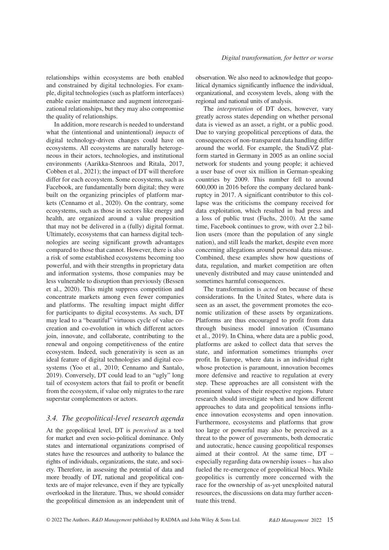relationships within ecosystems are both enabled and constrained by digital technologies. For example, digital technologies (such as platform interfaces) enable easier maintenance and augment interorganizational relationships, but they may also compromise the quality of relationships.

In addition, more research is needed to understand what the (intentional and unintentional) *impacts* of digital technology-driven changes could have on ecosystems. All ecosystems are naturally heterogeneous in their actors, technologies, and institutional environments (Aarikka-Stenroos and Ritala, 2017, Cobben et al., 2021); the impact of DT will therefore differ for each ecosystem. Some ecosystems, such as Facebook, are fundamentally born digital; they were built on the organizing principles of platform markets (Cennamo et al., 2020). On the contrary, some ecosystems, such as those in sectors like energy and health, are organized around a value proposition that may not be delivered in a (fully) digital format. Ultimately, ecosystems that can harness digital technologies are seeing significant growth advantages compared to those that cannot. However, there is also a risk of some established ecosystems becoming too powerful, and with their strengths in proprietary data and information systems, those companies may be less vulnerable to disruption than previously (Bessen et al., 2020). This might suppress competition and concentrate markets among even fewer companies and platforms. The resulting impact might differ for participants to digital ecosystems. As such, DT may lead to a "beautiful" virtuous cycle of value cocreation and co-evolution in which different actors join, innovate, and collaborate, contributing to the renewal and ongoing competitiveness of the entire ecosystem. Indeed, such generativity is seen as an ideal feature of digital technologies and digital ecosystems (Yoo et al., 2010; Cennamo and Santalo, 2019). Conversely, DT could lead to an "ugly" long tail of ecosystem actors that fail to profit or benefit from the ecosystem, if value only migrates to the rare superstar complementors or actors.

## *3.4. The geopolitical-level research agenda*

At the geopolitical level, DT is *perceived* as a tool for market and even socio-political dominance. Only states and international organizations comprised of states have the resources and authority to balance the rights of individuals, organizations, the state, and society. Therefore, in assessing the potential of data and more broadly of DT, national and geopolitical contexts are of major relevance, even if they are typically overlooked in the literature. Thus, we should consider the geopolitical dimension as an independent unit of observation. We also need to acknowledge that geopolitical dynamics significantly influence the individual, organizational, and ecosystem levels, along with the regional and national units of analysis.

The *interpretation* of DT does, however, vary greatly across states depending on whether personal data is viewed as an asset, a right, or a public good. Due to varying geopolitical perceptions of data, the consequences of non-transparent data handling differ around the world. For example, the StudiVZ platform started in Germany in 2005 as an online social network for students and young people; it achieved a user base of over six million in German-speaking countries by 2009. This number fell to around 600,000 in 2016 before the company declared bankruptcy in 2017. A significant contributor to this collapse was the criticisms the company received for data exploitation, which resulted in bad press and a loss of public trust (Fuchs, 2010). At the same time, Facebook continues to grow, with over 2.2 billion users (more than the population of any single nation), and still leads the market, despite even more concerning allegations around personal data misuse. Combined, these examples show how questions of data, regulation, and market competition are often unevenly distributed and may cause unintended and sometimes harmful consequences.

The transformation is *acted* on because of these considerations. In the United States, where data is seen as an asset, the government promotes the economic utilization of these assets by organizations. Platforms are thus encouraged to profit from data through business model innovation (Cusumano et al., 2019). In China, where data are a public good, platforms are asked to collect data that serves the state, and information sometimes triumphs over profit. In Europe, where data is an individual right whose protection is paramount, innovation becomes more defensive and reactive to regulation at every step. These approaches are all consistent with the prominent values of their respective regions. Future research should investigate when and how different approaches to data and geopolitical tensions influence innovation ecosystems and open innovation. Furthermore, ecosystems and platforms that grow too large or powerful may also be perceived as a threat to the power of governments, both democratic and autocratic, hence causing geopolitical responses aimed at their control. At the same time, DT – especially regarding data ownership issues – has also fueled the re-emergence of geopolitical blocs. While geopolitics is currently more concerned with the race for the ownership of as-yet unexploited natural resources, the discussions on data may further accentuate this trend.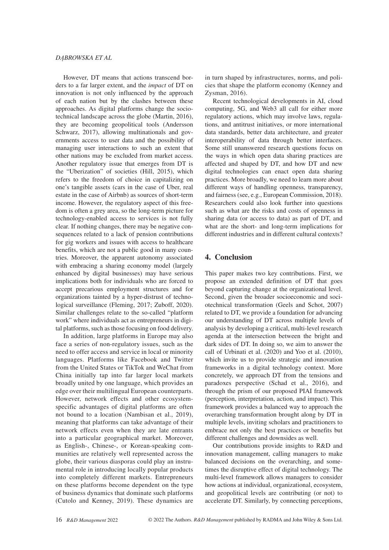#### *DĄBROWSKA ET AL*

However, DT means that actions transcend borders to a far larger extent, and the *impact* of DT on innovation is not only influenced by the approach of each nation but by the clashes between these approaches. As digital platforms change the sociotechnical landscape across the globe (Martin, 2016), they are becoming geopolitical tools (Andersson Schwarz, 2017), allowing multinationals and governments access to user data and the possibility of managing user interactions to such an extent that other nations may be excluded from market access. Another regulatory issue that emerges from DT is the "Uberization" of societies (Hill, 2015), which refers to the freedom of choice in capitalizing on one's tangible assets (cars in the case of Uber, real estate in the case of Airbnb) as sources of short-term income. However, the regulatory aspect of this freedom is often a grey area, so the long-term picture for technology-enabled access to services is not fully clear. If nothing changes, there may be negative consequences related to a lack of pension contributions for gig workers and issues with access to healthcare benefits, which are not a public good in many countries. Moreover, the apparent autonomy associated with embracing a sharing economy model (largely enhanced by digital businesses) may have serious implications both for individuals who are forced to accept precarious employment structures and for organizations tainted by a hyper-distrust of technological surveillance (Fleming, 2017; Zuboff, 2020). Similar challenges relate to the so-called "platform work" where individuals act as entrepreneurs in digital platforms, such as those focusing on food delivery.

In addition, large platforms in Europe may also face a series of non-regulatory issues, such as the need to offer access and service in local or minority languages. Platforms like Facebook and Twitter from the United States or TikTok and WeChat from China initially tap into far larger local markets broadly united by one language, which provides an edge over their multilingual European counterparts. However, network effects and other ecosystemspecific advantages of digital platforms are often not bound to a location (Nambisan et al., 2019), meaning that platforms can take advantage of their network effects even when they are late entrants into a particular geographical market. Moreover, as English-, Chinese-, or Korean-speaking communities are relatively well represented across the globe, their various diasporas could play an instrumental role in introducing locally popular products into completely different markets. Entrepreneurs on these platforms become dependent on the type of business dynamics that dominate such platforms (Cutolo and Kenney, 2019). These dynamics are

in turn shaped by infrastructures, norms, and policies that shape the platform economy (Kenney and Zysman, 2016).

Recent technological developments in AI, cloud computing, 5G, and Web3 all call for either more regulatory actions, which may involve laws, regulations, and antitrust initiatives, or more international data standards, better data architecture, and greater interoperability of data through better interfaces. Some still unanswered research questions focus on the ways in which open data sharing practices are affected and shaped by DT, and how DT and new digital technologies can enact open data sharing practices. More broadly, we need to learn more about different ways of handling openness, transparency, and fairness (see, e.g., European Commission, 2018). Researchers could also look further into questions such as what are the risks and costs of openness in sharing data (or access to data) as part of DT, and what are the short- and long-term implications for different industries and in different cultural contexts?

## **4. Conclusion**

This paper makes two key contributions. First, we propose an extended definition of DT that goes beyond capturing change at the organizational level. Second, given the broader socioeconomic and sociotechnical transformation (Geels and Schot, 2007) related to DT, we provide a foundation for advancing our understanding of DT across multiple levels of analysis by developing a critical, multi-level research agenda at the intersection between the bright and dark sides of DT. In doing so, we aim to answer the call of Urbinati et al. (2020) and Yoo et al. (2010), which invite us to provide strategic and innovation frameworks in a digital technology context. More concretely, we approach DT from the tensions and paradoxes perspective (Schad et al., 2016), and through the prism of our proposed PIAI framework (perception, interpretation, action, and impact). This framework provides a balanced way to approach the overarching transformation brought along by DT in multiple levels, inviting scholars and practitioners to embrace not only the best practices or benefits but different challenges and downsides as well.

Our contributions provide insights to R&D and innovation management, calling managers to make balanced decisions on the overarching, and sometimes the disruptive effect of digital technology. The multi-level framework allows managers to consider how actions at individual, organizational, ecosystem, and geopolitical levels are contributing (or not) to accelerate DT. Similarly, by connecting perceptions,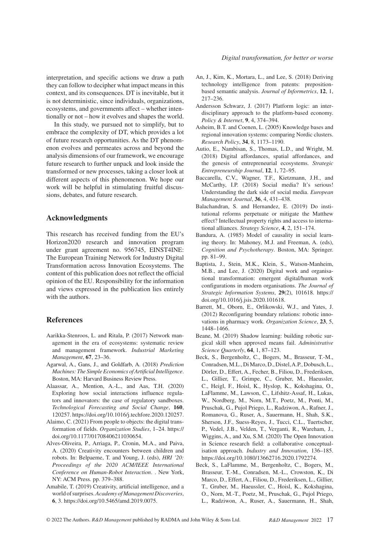interpretation, and specific actions we draw a path they can follow to decipher what impact means in this context, and its consequences. DT is inevitable, but it is not deterministic, since individuals, organizations, ecosystems, and governments affect – whether intentionally or not – how it evolves and shapes the world.

In this study, we pursued not to simplify, but to embrace the complexity of DT, which provides a lot of future research opportunities. As the DT phenomenon evolves and permeates across and beyond the analysis dimensions of our framework, we encourage future research to further unpack and look inside the transformed or new processes, taking a closer look at different aspects of this phenomenon. We hope our work will be helpful in stimulating fruitful discussions, debates, and future research.

### **Acknowledgments**

This research has received funding from the EU's Horizon2020 research and innovation program under grant agreement no. 956745, EINST4INE: The European Training Network for Industry Digital Transformation across Innovation Ecosystems. The content of this publication does not reflect the official opinion of the EU. Responsibility for the information and views expressed in the publication lies entirely with the authors.

## **References**

- Aarikka-Stenroos, L. and Ritala, P. (2017) Network management in the era of ecosystems: systematic review and management framework. *Industrial Marketing Management*, **67**, 23–36.
- Agarwal, A., Gans, J., and Goldfarb, A. (2018) *Prediction Machines: The Simple Economics of Artificial Intelligence*. Boston, MA: Harvard Business Review Press.
- Alaassar, A., Mention, A.-L., and Aas, T.H. (2020) Exploring how social interactions influence regulators and innovators: the case of regulatory sandboxes. *Technological Forecasting and Social Change*, **160**, 120257.<https://doi.org/10.1016/j.techfore.2020.120257>.
- Alaimo, C. (2021) From people to objects: the digital transformation of fields. *Organization Studies*, 1–24. [https://](https://doi.org/10.1177/01708406211030654) [doi.org/10.1177/01708406211030654](https://doi.org/10.1177/01708406211030654).
- Alves-Oliveira, P., Arriaga, P., Cronin, M.A., and Paiva, A. (2020) Creativity encounters between children and robots. In: Belpaeme, T. and Young, J. (eds), *HRI '20: Proceedings of the 2020 ACM/IEEE International Conference on Human-Robot Interaction*. . New York, NY: ACM Press. pp. 379–388.
- Amabile, T. (2019) Creativity, artificial intelligence, and a world of surprises. *Academy of Management Discoveries*, **6**, 3. [https://doi.org/10.5465/amd.2019.0075.](https://doi.org/10.5465/amd.2019.0075)
- An, J., Kim, K., Mortara, L., and Lee, S. (2018) Deriving technology intelligence from patents: prepositionbased semantic analysis. *Journal of Informetrics*, **12**, 1, 217–236.
- Andersson Schwarz, J. (2017) Platform logic: an interdisciplinary approach to the platform-based economy. *Policy & Internet*, **9**, 4, 374–394.
- Asheim, B.T. and Coenen, L. (2005) Knowledge bases and regional innovation systems: comparing Nordic clusters. *Research Policy*, **34**, 8, 1173–1190.
- Autio, E., Nambisan, S., Thomas, L.D., and Wright, M. (2018) Digital affordances, spatial affordances, and the genesis of entrepreneurial ecosystems. *Strategic Entrepreneurship Journal*, **12**, 1, 72–95.
- Baccarella, C.V., Wagner, T.F., Kietzmann, J.H., and McCarthy, I.P. (2018) Social media? It's serious! Understanding the dark side of social media. *European Management Journal*, **36**, 4, 431–438.
- Balachandran, S. and Hernandez, E. (2019) Do institutional reforms perpetuate or mitigate the Matthew effect? Intellectual property rights and access to international alliances. *Strategy Science*, **4**, 2, 151–174.
- Bandura, A. (1985) Model of causality in social learning theory. In: Mahoney, M.J. and Freeman, A. (eds), *Cognition and Psychotherapy*. Boston, MA: Springer. pp. 81–99.
- Baptista, J., Stein, M.K., Klein, S., Watson-Manheim, M.B., and Lee, J. (2020) Digital work and organisational transformation: emergent digital/human work configurations in modern organisations. *The Journal of Strategic Information Systems*, **29**(2), 101618. [https://](https://doi.org/10.1016/j.jsis.2020.101618) [doi.org/10.1016/j.jsis.2020.101618.](https://doi.org/10.1016/j.jsis.2020.101618)
- Barrett, M., Oborn, E., Orlikowski, W.J., and Yates, J. (2012) Reconfiguring boundary relations: robotic innovations in pharmacy work. *Organization Science*, **23**, 5, 1448–1466.
- Beane, M. (2019) Shadow learning: building robotic surgical skill when approved means fail. *Administrative Science Quarterly*, **64**, 1, 87–123.
- Beck, S., Bergenholtz, C., Bogers, M., Brasseur, T.-M., Conradsen, M.L., Di Marco, D., Distel, A.P., Dobusch, L., Dörler, D., Effert, A., Fecher, B., Filiou, D., Frederiksen, L., Gillier, T., Grimpe, C., Gruber, M., Haeussler, C., Heigl, F., Hoisl, K., Hyslop, K., Kokshagina, O., LaFlamme, M., Lawson, C., Lifshitz-Assaf, H., Lukas, W., Nordberg, M., Norn, M.T., Poetz, M., Ponti, M., Pruschak, G., Pujol Priego, L., Radziwon, A., Rafner, J., Romanova, G., Ruser, A., Sauermann, H., Shah, S.K., Sherson, J.F., Suess-Reyes, J., Tucci, C.L., Tuertscher, P., Vedel, J.B., Velden, T., Verganti, R., Wareham, J., Wiggins, A., and Xu, S.M. (2020) The Open Innovation in Science research field: a collaborative conceptualisation approach. *Industry and Innovation*, 136–185. <https://doi.org/10.1080/13662716.2020.1792274>.
- Beck, S., LaFlamme, M., Bergenholtz, C., Bogers, M., Brasseur, T.-M., Conradsen, M.-L., Crowston, K., Di Marco, D., Effert, A., Filiou, D., Frederiksen, L., Gillier, T., Gruber, M., Haeussler, C., Hoisl, K., Kokshagina, O., Norn, M.-T., Poetz, M., Pruschak, G., Pujol Priego, L., Radziwon, A., Ruser, A., Sauermann, H., Shah,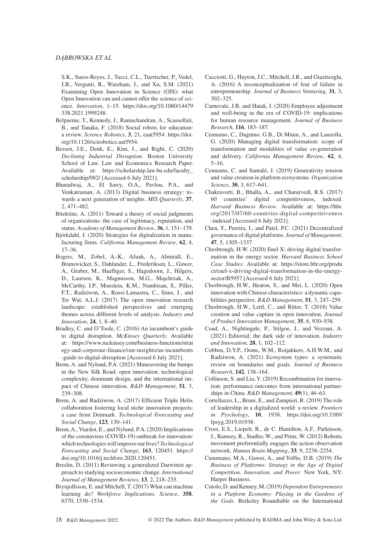S.K., Suess-Reyes, J., Tucci, C.L., Tuertscher, P., Vedel, J.B., Verganti, R., Wareham, J., and Xu, S.M. (2021) Examining Open Innovation in Science (OIS): what Open Innovation can and cannot offer the science of science. *Innovation*, 1–15. [https://doi.org/10.1080/14479](https://doi.org/10.1080/14479338.2021.1999248) [338.2021.1999248.](https://doi.org/10.1080/14479338.2021.1999248)

- Belpaeme, T., Kennedy, J., Ramachandran, A., Scassellati, B., and Tanaka, F. (2018) Social robots for education: a review. *Science Robotics*, **3**, 21, eaat5954. [https://doi.](https://doi.org/10.1126/scirobotics.aat5954) [org/10.1126/scirobotics.aat5954.](https://doi.org/10.1126/scirobotics.aat5954)
- Bessen, J.E., Denk, E., Kim, J., and Righi, C. (2020) *Declining Industrial Disruption*. Boston University School of Law. Law and Economics Research Paper. Available at: [https://scholarship.law.bu.edu/faculty\\_](https://scholarship.law.bu.edu/faculty_scholarship/982/) [scholarship/982/](https://scholarship.law.bu.edu/faculty_scholarship/982/) [Accessed 6 July 2021].
- Bharadwaj, A., El Sawy, O.A., Pavlou, P.A., and Venkatraman, A. (2013) Digital business strategy: towards a next generation of insights. *MIS Quarterly*, **37**, 2, 471–482.
- Bitektine, A. (2011) Toward a theory of social judgments of organizations: the case of legitimacy, reputation, and status. *Academy of Management Review*, **36**, 1, 151–179.
- Björkdahl, J. (2020) Strategies for digitalization in manufacturing firms. *California Management Review*, **62**, 4, 17–36.
- Bogers, M., Zobel, A.-K., Afuah, A., Almirall, E., Brunswicker, S., Dahlander, L., Frederiksen, L., Gawer, A., Gruber, M., Haefliger, S., Hagedoorn, J., Hilgers, D., Laursen, K., Magnusson, M.G., Majchrzak, A., McCarthy, I.P., Moeslein, K.M., Nambisan, S., Piller, F.T., Radziwon, A., Rossi-Lamastra, C., Sims, J., and Ter Wal, A.L.J. (2017) The open innovation research landscape: established perspectives and emerging themes across different levels of analysis. *Industry and Innovation*, **24**, 1, 8–40.
- Bradley, C. and O'Toole, C. (2016) An incumbent's guide to digital disruption. *McKinsey Quarterly*. Available at: [https://www.mckinsey.com/business-functions/strat](https://www.mckinsey.com/business-functions/strategy-and-corporate-finance/our-insights/an-incumbents-guide-to-digital-disruption) [egy-and-corporate-finance/our-insights/an-incumbents](https://www.mckinsey.com/business-functions/strategy-and-corporate-finance/our-insights/an-incumbents-guide-to-digital-disruption) [-guide-to-digital-disruption](https://www.mckinsey.com/business-functions/strategy-and-corporate-finance/our-insights/an-incumbents-guide-to-digital-disruption) [Accessed 6 July 2021].
- Brem, A. and Nylund, P.A. (2021) Maneuvering the bumps in the New Silk Road: open innovation, technological complexity, dominant design, and the international impact of Chinese innovation. *R&D Management*, **51**, 3, 239–308.
- Brem, A. and Radziwon, A. (2017) Efficient Triple Helix collaboration fostering local niche innovation projects: a case from Denmark. *Technological Forecasting and Social Change*, **123**, 130–141.
- Brem, A., Viardot, E., and Nylund, P.A. (2020) Implications of the coronavirus (COVID-19) outbreak for innovation: which technologies will improve our lives? *Technological Forecasting and Social Change*, **163**, 120451. [https://](https://doi.org/10.1016/j.techfore.2020.120451) [doi.org/10.1016/j.techfore.2020.120451.](https://doi.org/10.1016/j.techfore.2020.120451)
- Breslin, D. (2011) Reviewing a generalized Darwinist approach to studying socioeconomic change. *International Journal of Management Reviews*, **13**, 2, 218–235.
- Brynjolfsson, E. and Mitchell, T. (2017) What can machine learning do? *Workforce Implications. Science*, **358**, 6370, 1530–1534.
- Cacciotti, G., Hayton, J.C., Mitchell, J.R., and Giazitzoglu, A. (2016) A reconceptualization of fear of failure in entrepreneurship. *Journal of Business Venturing*, **31**, 3, 302–325.
- Carnevale, J.B. and Hatak, I. (2020) Employee adjustment and well-being in the era of COVID-19: implications for human resource management. *Journal of Business Research*, **116**, 183–187.
- Cennamo, C., Dagnino, G.B., Di Minin, A., and Lanzolla, G. (2020) Managing digital transformation: scope of transformation and modalities of value co-generation and delivery. *California Management Review*, **62**, 4, 5–16.
- Cennamo, C. and Santaló, J. (2019) Generativity tension and value creation in platform ecosystems. *Organization Science*, **30**, 3, 617–641.
- Chakravorti, B., Bhalla, A., and Chaturvedi, R.S. (2017) 60 countries' digital competitiveness, indexed. *Harvard Business Review*. Available at: [https://hbr.](https://hbr.org/2017/07/60-countries-digital-competitiveness-indexed) [org/2017/07/60-countries-digital-competitiveness](https://hbr.org/2017/07/60-countries-digital-competitiveness-indexed) [-indexed](https://hbr.org/2017/07/60-countries-digital-competitiveness-indexed) [Accessed 6 July 2021].
- Chen, Y., Pereira, I., and Patel, P.C. (2021) Decentralized governance of digital platforms. *Journal of Management*, **47**, 5, 1305–1337.
- Chesbrough, H.W. (2020) Enel X: driving digital transformation in the energy sector. *Harvard Business School Case Studies*. Available at: [https://store.hbr.org/produ](https://store.hbr.org/product/enel-x-driving-digital-transformation-in-the-energy-sector/B5957) [ct/enel-x-driving-digital-transformation-in-the-energy](https://store.hbr.org/product/enel-x-driving-digital-transformation-in-the-energy-sector/B5957)[sector/B5957](https://store.hbr.org/product/enel-x-driving-digital-transformation-in-the-energy-sector/B5957) [Accessed 6 July 2021].
- Chesbrough, H.W., Heaton, S., and Mei, L. (2020) Open innovation with Chinese characteristics: a dynamic capabilities perspective. *R&D Management*, **51**, 3, 247–259.
- Chesbrough, H.W., Lettl, C., and Ritter, T. (2018) Value creation and value capture in open innovation. *Journal of Product Innovation Management*, **35**, 6, 930–938.
- Coad, A., Nightingale, P., Stilgoe, J., and Vezzani, A. (2021) Editorial: the dark side of innovation. *Industry and Innovation*, **28**, 1, 102–112.
- Cobben, D.Y.P., Ooms, W.M., Roijakkers, A.H.W.M., and Radziwon, A. (2021) Ecosystem types: a systematic review on boundaries and goals. *Journal of Business Research*, **142**, 138–164.
- Collinson, S. and Liu, Y. (2019) Recombination for innovation: performance outcomes from international partnerships in China. *R&D Management*, **49**(1), 46–63.
- Cortellazzo, L., Bruni, E., and Zampieri, R. (2019) The role of leadership in a digitalized world: a review. *Frontiers in Psychology*, **10**, 1938. [https://doi.org/10.3389/](https://doi.org/10.3389/fpsyg.2019.01938) [fpsyg.2019.01938.](https://doi.org/10.3389/fpsyg.2019.01938)
- Cross, E.S., Liepelt, R., de C. Hamilton, A.F., Parkinson, J., Ramsey, R., Stadler, W., and Prinz, W. (2012) Robotic movement preferentially engages the action observation network. *Human Brain Mapping*, **33**, 9, 2238–2254.
- Cusumano, M.A., Gawer, A., and Yoffie, D.B. (2019) *The Business of Platforms: Strategy in the Age of Digital Competition, Innovation, and Power*. New York, NY: Harper Business.
- Cutolo, D. and Kenney, M. (2019) *Dependent Entrepreneurs in a Platform Economy: Playing in the Gardens of the Gods*. Berkeley Roundtable on the International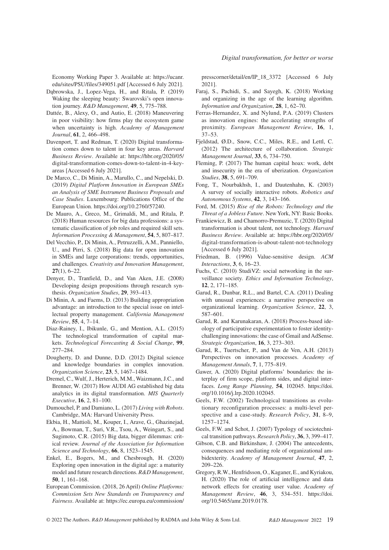Economy Working Paper 3. Available at: [https://ucanr.](https://ucanr.edu/sites/PSU/files/349051.pdf) [edu/sites/PSU/files/349051.pdf](https://ucanr.edu/sites/PSU/files/349051.pdf) [Accessed 6 July 2021].

- Dąbrowska, J., Lopez-Vega, H., and Ritala, P. (2019) Waking the sleeping beauty: Swarovski's open innovation journey. *R&D Management*, **49**, 5, 775–788.
- Dattée, B., Alexy, O., and Autio, E. (2018) Maneuvering in poor visibility: how firms play the ecosystem game when uncertainty is high. *Academy of Management Journal*, **61**, 2, 466–498.
- Davenport, T. and Redman, T. (2020) Digital transformation comes down to talent in four key areas. *Harvard Business Review*. Available at: [https://hbr.org/2020/05/](https://hbr.org/2020/05/digital-transformation-comes-down-to-talent-in-4-key-areas) [digital-transformation-comes-down-to-talent-in-4-key](https://hbr.org/2020/05/digital-transformation-comes-down-to-talent-in-4-key-areas)[areas](https://hbr.org/2020/05/digital-transformation-comes-down-to-talent-in-4-key-areas) [Accessed 6 July 2021].
- De Marco, C., Di Minin, A., Marullo, C., and Nepelski, D. (2019) *Digital Platform Innovation in European SMEs an Analysis of SME Instrument Business Proposals and Case Studies*. Luxembourg: Publications Office of the European Union. [https://doi.org/10.2760/57240.](https://doi.org/10.2760/57240)
- De Mauro, A., Greco, M., Grimaldi, M., and Ritala, P. (2018) Human resources for big data professions: a systematic classification of job roles and required skill sets. *Information Processing & Management*, **54**, 5, 807–817.
- Del Vecchio, P., Di Minin, A., Petruzzelli, A.M., Panniello, U., and Pirri, S. (2018) Big data for open innovation in SMEs and large corporations: trends, opportunities, and challenges. *Creativity and Innovation Management*, **27**(1), 6–22.
- Denyer, D., Tranfield, D., and Van Aken, J.E. (2008) Developing design propositions through research synthesis. *Organization Studies*, **29**, 393–413.
- Di Minin, A. and Faems, D. (2013) Building appropriation advantage: an introduction to the special issue on intellectual property management. *California Management Review*, **55**, 4, 7–14.
- Diaz-Rainey, I., Ibikunle, G., and Mention, A.L. (2015) The technological transformation of capital markets. *Technological Forecasting & Social Change*, **99**, 277–284.
- Dougherty, D. and Dunne, D.D. (2012) Digital science and knowledge boundaries in complex innovation. *Organization Science*, **23**, 5, 1467–1484.
- Dremel, C., Wulf, J., Herterich, M.M., Waizmann, J.C., and Brenner, W. (2017) How AUDI AG established big data analytics in its digital transformation. *MIS Quarterly Executive*, **16**, 2, 81–100.
- Dumouchel, P. and Damiano, L. (2017) *Living with Robots*. Cambridge, MA: Harvard University Press.
- Ekbia, H., Mattioli, M., Kouper, I., Arave, G., Ghazinejad, A., Bowman, T., Suri, V.R., Tsou, A., Weingart, S., and Sugimoto, C.R. (2015) Big data, bigger dilemmas: critical review. *Journal of the Association for Information Science and Technology*, **66**, 8, 1523–1545.
- Enkel, E., Bogers, M., and Chesbrough, H. (2020) Exploring open innovation in the digital age: a maturity model and future research directions. *R&D Management*, **50**, 1, 161–168.
- European Commission. (2018, 26 April) *Online Platforms: Commission Sets New Standards on Transparency and Fairness*. Available at: [https://ec.europa.eu/commission/](https://ec.europa.eu/commission/presscorner/detail/en/IP_18_3372)

[presscorner/detail/en/IP\\_18\\_3372](https://ec.europa.eu/commission/presscorner/detail/en/IP_18_3372) [Accessed 6 July 2021].

- Faraj, S., Pachidi, S., and Sayegh, K. (2018) Working and organizing in the age of the learning algorithm. *Information and Organization*, **28**, 1, 62–70.
- Ferras-Hernandez, X. and Nylund, P.A. (2019) Clusters as innovation engines: the accelerating strengths of proximity. *European Management Review*, **16**, 1, 37–53.
- Fjeldstad, Ø.D., Snow, C.C., Miles, R.E., and Lettl, C. (2012) The architecture of collaboration. *Strategic Management Journal*, **33**, 6, 734–750.
- Fleming, P. (2017) The human capital hoax: work, debt and insecurity in the era of uberization. *Organization Studies*, **38**, 5, 691–709.
- Fong, T., Nourbakhsh, I., and Dautenhahn, K. (2003) A survey of socially interactive robots. *Robotics and Autonomous Systems*, **42**, 3, 143–166.
- Ford, M. (2015) *Rise of the Robots: Technology and the Threat of a Jobless Future*. New York, NY: Basic Books.
- Frankiewicz, B. and Chamorro-Premuzic, T. (2020) Digital transformation is about talent, not technology. *Harvard Business Review*. Available at: [https://hbr.org/2020/05/](https://hbr.org/2020/05/digital-transformation-is-about-talent-not-technology) [digital-transformation-is-about-talent-not-technology](https://hbr.org/2020/05/digital-transformation-is-about-talent-not-technology) [Accessed 6 July 2021].
- Friedman, B. (1996) Value-sensitive design. *ACM Interactions*, **3**, 6, 16–23.
- Fuchs, C. (2010) StudiVZ: social networking in the surveillance society. *Ethics and Information Technology*, **12**, 2, 171–185.
- Garud, R., Dunbar, R.L., and Bartel, C.A. (2011) Dealing with unusual experiences: a narrative perspective on organizational learning. *Organization Science*, **22**, 3, 587–601.
- Garud, R. and Karunakaran, A. (2018) Process-based ideology of participative experimentation to foster identitychallenging innovations: the case of Gmail and AdSense. *Strategic Organization*, **16**, 3, 273–303.
- Garud, R., Tuertscher, P., and Van de Ven, A.H. (2013) Perspectives on innovation processes. *Academy of Management Annals*, **7**, 1, 775–819.
- Gawer, A. (2020) Digital platforms' boundaries: the interplay of firm scope, platform sides, and digital interfaces. *Long Range Planning*, **54**, 102045. [https://doi.](https://doi.org/10.1016/j.lrp.2020.102045) [org/10.1016/j.lrp.2020.102045.](https://doi.org/10.1016/j.lrp.2020.102045)
- Geels, F.W. (2002) Technological transitions as evolutionary reconfiguration processes: a multi-level perspective and a case-study. *Research Policy*, **31**, 8–9, 1257–1274.
- Geels, F.W. and Schot, J. (2007) Typology of sociotechnical transition pathways. *Research Policy*, **36**, 3, 399–417.
- Gibson, C.B. and Birkinshaw, J. (2004) The antecedents, consequences and mediating role of organizational ambidexterity. *Academy of Management Journal*, **47**, 2, 209–226.
- Gregory, R.W., Henfridsson, O., Kaganer, E., and Kyriakou, H. (2020) The role of artificial intelligence and data network effects for creating user value. *Academy of Management Review*, **46**, 3, 534–551. [https://doi.](https://doi.org/10.5465/amr.2019.0178) [org/10.5465/amr.2019.0178.](https://doi.org/10.5465/amr.2019.0178)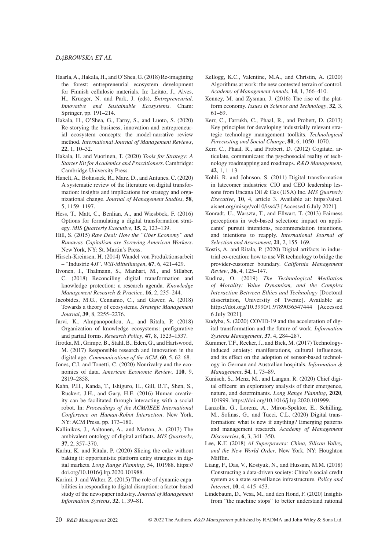#### *DĄBROWSKA ET AL*

- Haarla, A., Hakala, H., and O'Shea, G. (2018) Re-imagining the forest: entrepreneurial ecosystem development for Finnish cellulosic materials. In: Leitão, J., Alves, H., Krueger, N. and Park, J. (eds), *Entrepreneurial, Innovative and Sustainable Ecosystems*. Cham: Springer, pp. 191–214.
- Hakala, H., O'Shea, G., Farny, S., and Luoto, S. (2020) Re-storying the business, innovation and entrepreneurial ecosystem concepts: the model-narrative review method. *International Journal of Management Reviews*, **22**, 1, 10–32.
- Hakala, H. and Vuorinen, T. (2020) *Tools for Strategy: A Starter Kit for Academics and Practitioners*. Cambridge: Cambridge University Press.
- Hanelt, A., Bohnsack, R., Marz, D., and Antunes, C. (2020) A systematic review of the literature on digital transformation: insights and implications for strategy and organizational change. *Journal of Management Studies*, **58**, 5, 1159–1197.
- Hess, T., Matt, C., Benlian, A., and Wiesböck, F. (2016) Options for formulating a digital transformation strategy. *MIS Quarterly Executive*, **15**, 2, 123–139.
- Hill, S. (2015) *Raw Deal: How the "Uber Economy" and Runaway Capitalism are Screwing American Workers*. New York, NY: St. Martin's Press.
- Hirsch-Kreinsen, H. (2014) Wandel von Produktionsarbeit – "Industrie 4.0". *WSI-Mitteilungen*, **67**, 6, 421–429.
- Ilvonen, I., Thalmann, S., Manhart, M., and Sillaber, C. (2018) Reconciling digital transformation and knowledge protection: a research agenda. *Knowledge Management Research & Practice*, **16**, 2, 235–244.
- Jacobides, M.G., Cennamo, C., and Gawer, A. (2018) Towards a theory of ecosystems. *Strategic Management Journal*, **39**, 8, 2255–2276.
- Järvi, K., Almpanopoulou, A., and Ritala, P. (2018) Organization of knowledge ecosystems: prefigurative and partial forms. *Research Policy*, **47**, 8, 1523–1537.
- Jirotka, M., Grimpe, B., Stahl, B., Eden, G., and Hartswood, M. (2017) Responsible research and innovation in the digital age. *Communications of the ACM*, **60**, 5, 62–68.
- Jones, C.I. and Tonetti, C. (2020) Nonrivalry and the economics of data. *American Economic Review*, **110**, 9, 2819–2858.
- Kahn, P.H., Kanda, T., Ishiguro, H., Gill, B.T., Shen, S., Ruckert, J.H., and Gary, H.E. (2016) Human creativity can be facilitated through interacting with a social robot. In: *Proceedings of the ACM/IEEE International Conference on Human-Robot Interaction*. New York, NY: ACM Press, pp. 173–180.
- Kallinikos, J., Aaltonen, A., and Marton, A. (2013) The ambivalent ontology of digital artifacts. *MIS Quarterly*, **37**, 2, 357–370.
- Karhu, K. and Ritala, P. (2020) Slicing the cake without baking it: opportunistic platform entry strategies in digital markets. *Long Range Planning*, 54, 101988. [https://](https://doi.org/10.1016/j.lrp.2020.101988) [doi.org/10.1016/j.lrp.2020.101988](https://doi.org/10.1016/j.lrp.2020.101988).
- Karimi, J. and Walter, Z. (2015) The role of dynamic capabilities in responding to digital disruption: a factor-based study of the newspaper industry. *Journal of Management Information Systems*, **32**, 1, 39–81.
- Kellogg, K.C., Valentine, M.A., and Christin, A. (2020) Algorithms at work: the new contested terrain of control. *Academy of Management Annals*, **14**, 1, 366–410.
- Kenney, M. and Zysman, J. (2016) The rise of the platform economy. *Issues in Science and Technology*, **32**, 3, 61–69.
- Kerr, C., Farrukh, C., Phaal, R., and Probert, D. (2013) Key principles for developing industrially relevant strategic technology management toolkits. *Technological Forecasting and Social Change*, **80**, 6, 1050–1070.
- Kerr, C., Phaal, R., and Probert, D. (2012) Cogitate, articulate, communicate: the psychosocial reality of technology roadmapping and roadmaps. *R&D Management*, **42**, 1, 1–13.
- Kohli, R. and Johnson, S. (2011) Digital transformation in latecomer industries: CIO and CEO leadership lessons from Encana Oil & Gas (USA) Inc. *MIS Quarterly Executive*, **10**, 4, article 3. Available at: [https://aisel.](https://aisel.aisnet.org/misqe/vol10/iss4/3) [aisnet.org/misqe/vol10/iss4/3](https://aisel.aisnet.org/misqe/vol10/iss4/3) [Accessed 6 July 2021].
- Konradt, U., Warszta, T., and Ellwart, T. (2013) Fairness perceptions in web-based selection: impact on applicants' pursuit intentions, recommendation intentions, and intentions to reapply. *International Journal of Selection and Assessment*, **21**, 2, 155–169.
- Kostis, A. and Ritala, P. (2020) Digital artifacts in industrial co-creation: how to use VR technology to bridge the provider-customer boundary. *California Management Review*, **36**, 4, 125–147.
- Kudina, O. (2019) *The Technological Mediation of Morality: Value Dynamism, and the Complex Interaction Between Ethics and Technology* [Doctoral dissertation, University of Twente]. Available at: <https://doi.org/10.3990/1.9789036547444> [Accessed 6 July 2021].
- Kudyba, S. (2020) COVID-19 and the acceleration of digital transformation and the future of work. *Information Systems Management*, **37**, 4, 284–287.
- Kummer, T.F., Recker, J., and Bick, M. (2017) Technologyinduced anxiety: manifestations, cultural influences, and its effect on the adoption of sensor-based technology in German and Australian hospitals. *Information & Management*, **54**, 1, 73–89.
- Kunisch, S., Menz, M., and Langan, R. (2020) Chief digital officers: an exploratory analysis of their emergence, nature, and determinants. *Long Range Planning*, **2020**, 101999.<https://doi.org/10.1016/j.lrp.2020.101999>.
- Lanzolla, G., Lorenz, A., Miron-Spektor, E., Schilling, M., Solinas, G., and Tucci, C.L. (2020) Digital transformation: what is new if anything? Emerging patterns and management research. *Academy of Management Discoveries*, **6**, 3, 341–350.
- Lee, K.F. (2018) *AI Superpowers: China, Silicon Valley, and the New World Order*. New York, NY: Houghton Mifflin.
- Liang, F., Das, V., Kostyuk, N., and Hussain, M.M. (2018) Constructing a data-driven society: China's social credit system as a state surveillance infrastructure. *Policy and Internet*, **10**, 4, 415–453.
- Lindebaum, D., Vesa, M., and den Hond, F. (2020) Insights from "the machine stops" to better understand rational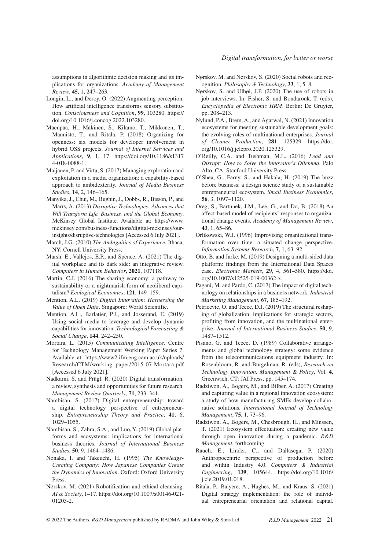assumptions in algorithmic decision making and its implications for organizations. *Academy of Management Review*, **45**, 1, 247–263.

- Longin, L., and Deroy, O. (2022) Augmenting perception: How artificial intelligence transforms sensory substitution. *Consciousness and Cognition*, **99**, 103280. [https://](https://doi.org/10.1016/j.concog.2022.103280) [doi.org/10.1016/j.concog.2022.103280.](https://doi.org/10.1016/j.concog.2022.103280)
- Mäenpää, H., Mäkinen, S., Kilamo, T., Mikkonen, T., Männistö, T., and Ritala, P. (2018) Organizing for openness: six models for developer involvement in hybrid OSS projects. *Journal of Internet Services and Applications*, **9**, 1, 17. [https://doi.org/10.1186/s1317](https://doi.org/10.1186/s13174-018-0088-1) [4-018-0088-1](https://doi.org/10.1186/s13174-018-0088-1).
- Maijanen, P. and Virta, S. (2017) Managing exploration and exploitation in a media organization: a capability-based approach to ambidexterity. *Journal of Media Business Studies*, **14**, 2, 146–165.
- Manyika, J., Chui, M., Bughin, J., Dobbs, R., Bisson, P., and Marrs, A. (2013) *Disruptive Technologies: Advances that Will Transform Life, Business, and the Global Economy*. McKinsey Global Institute. Available at: [https://www.](https://www.mckinsey.com/business-functions/digital-mckinsey/our-insights/disruptive-technologies) [mckinsey.com/business-functions/digital-mckinsey/our](https://www.mckinsey.com/business-functions/digital-mckinsey/our-insights/disruptive-technologies)[insights/disruptive-technologies](https://www.mckinsey.com/business-functions/digital-mckinsey/our-insights/disruptive-technologies) [Accessed 6 July 2021].
- March, J.G. (2010) *The Ambiguities of Experience*. Ithaca, NY: Cornell University Press.
- Marsh, E., Vallejos, E.P., and Spence, A. (2021) The digital workplace and its dark side: an integrative review. *Computers in Human Behavior*, **2021**, 107118.
- Martin, C.J. (2016) The sharing economy: a pathway to sustainability or a nightmarish form of neoliberal capitalism? *Ecological Economics*, **121**, 149–159.
- Mention, A.L. (2019) *Digital Innovation: Harnessing the Value of Open Data*. Singapore: World Scientific.
- Mention, A.L., Barlatier, P.J., and Josserand, E. (2019) Using social media to leverage and develop dynamic capabilities for innovation. *Technological Forecasting & Social Change*, **144**, 242–250.
- Mortara, L. (2015) *Communicating Intelligence*. Centre for Technology Management Working Paper Series 7. Available at. [https://www2.ifm.eng.cam.ac.uk/uploads/](https://www2.ifm.eng.cam.ac.uk/uploads/Research/CTM/working_paper/2015-07-Mortara.pdf) [Research/CTM/working\\_paper/2015-07-Mortara.pdf](https://www2.ifm.eng.cam.ac.uk/uploads/Research/CTM/working_paper/2015-07-Mortara.pdf) [Accessed 6 July 2021].
- Nadkarni, S. and Prügl, R. (2020) Digital transformation: a review, synthesis and opportunities for future research. *Management Review Quarterly*, **71**, 233–341.
- Nambisan, S. (2017) Digital entrepreneurship: toward a digital technology perspective of entrepreneurship. *Entrepreneurship Theory and Practice*, **41**, 6, 1029–1055.
- Nambisan, S., Zahra, S.A., and Luo, Y. (2019) Global platforms and ecosystems: implications for international business theories. *Journal of International Business Studies*, **50**, 9, 1464–1486.
- Nonaka, I. and Takeuchi, H. (1995) *The Knowledge-Creating Company: How Japanese Companies Create the Dynamics of Innovation*. Oxford: Oxford University Press.
- Nørskov, M. (2021) Robotification and ethical cleansing. *AI & Society*, 1–17. [https://doi.org/10.1007/s00146-021-](https://doi.org/10.1007/s00146-021-01203-2) [01203-2.](https://doi.org/10.1007/s00146-021-01203-2)
- Nørskov, M. and Nørskov, S. (2020) Social robots and recognition. *Philosophy & Technology*, **33**, 1, 5–8.
- Nørskov, S. and Ulhøi, J.P. (2020) The use of robots in job interviews. In: Fisher, S. and Bondarouk, T. (eds), *Encyclopedia of Electronic HRM*. Berlin: De Gruyter, pp. 208–213.
- Nylund, P.A., Brem, A., and Agarwal, N. (2021) Innovation ecosystems for meeting sustainable development goals: the evolving roles of multinational enterprises. *Journal of Cleaner Production*, **281**, 125329. [https://doi.](https://doi.org/10.1016/j.jclepro.2020.125329) [org/10.1016/j.jclepro.2020.125329.](https://doi.org/10.1016/j.jclepro.2020.125329)
- O'Reilly, C.A. and Tushman, M.L. (2016) *Lead and Disrupt: How to Solve the Innovator's Dilemma*. Palo Alto, CA: Stanford University Press.
- O'Shea, G., Farny, S., and Hakala, H. (2019) The buzz before business: a design science study of a sustainable entrepreneurial ecosystem. *Small Business Economics*, **56**, 3, 1097–1120.
- Oreg, S., Bartunek, J.M., Lee, G., and Do, B. (2018) An affect-based model of recipients' responses to organizational change events. *Academy of Management Review*, **43**, 1, 65–86.
- Orlikowski, W.J. (1996) Improvising organizational transformation over time: a situated change perspective. *Information Systems Research*, **7**, 1, 63–92.
- Otto, B. and Jarke, M. (2019) Designing a multi-sided data platform: findings from the International Data Spaces case. *Electronic Markets*, **29**, 4, 561–580. [https://doi.](https://doi.org/10.1007/s12525-019-00362-x) [org/10.1007/s12525-019-00362-x](https://doi.org/10.1007/s12525-019-00362-x).
- Pagani, M. and Pardo, C. (2017) The impact of digital technology on relationships in a business network. *Industrial Marketing Management*, **67**, 185–192.
- Petricevic, O. and Teece, D.J. (2019) The structural reshaping of globalization: implications for strategic sectors, profiting from innovation, and the multinational enterprise. *Journal of International Business Studies*, **50**, 9, 1487–1512.
- Pisano, G. and Teece, D. (1989) Collaborative arrangements and global technology strategy: some evidence from the telecommunications equipment industry. In: Rosenbloom, R. and Burgelman, R. (eds), *Research on Technology Innovation, Management & Policy*, Vol. **4**, Greenwich, CT: JAI Press, pp. 145–174.
- Radziwon, A., Bogers, M., and Bilber, A. (2017) Creating and capturing value in a regional innovation ecosystem: a study of how manufacturing SMEs develop collaborative solutions. *International Journal of Technology Management*, **75**, 1, 73–96.
- Radziwon, A., Bogers, M., Chesbrough, H., and Minssen, T. (2021) Ecosystem effectuation: creating new value through open innovation during a pandemic. *R&D Management*, forthcoming.
- Rauch, E., Linder, C., and Dallasega, P. (2020) Anthropocentric perspective of production before and within Industry 4.0. *Computers & Industrial Engineering*, **139**, 105644. [https://doi.org/10.1016/](https://doi.org/10.1016/j.cie.2019.01.018) [j.cie.2019.01.018](https://doi.org/10.1016/j.cie.2019.01.018).
- Ritala, P., Baiyere, A., Hughes, M., and Kraus, S. (2021) Digital strategy implementation: the role of individual entrepreneurial orientation and relational capital.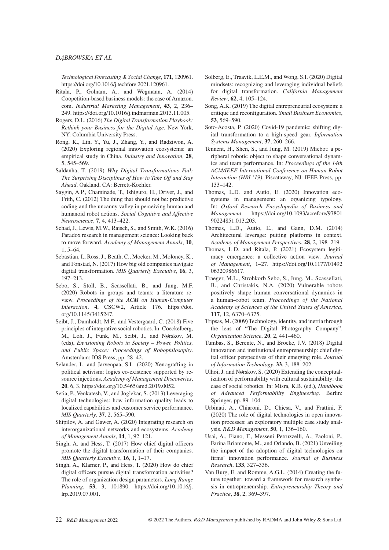#### *DĄBROWSKA ET AL*

*Technological Forecasting & Social Change*, **171**, 120961. <https://doi.org/10.1016/j.techfore.2021.120961>.

- Ritala, P., Golnam, A., and Wegmann, A. (2014) Coopetition-based business models: the case of Amazon. com. *Industrial Marketing Management*, **43**, 2, 236– 249. [https://doi.org/10.1016/j.indmarman.2013.11.005.](https://doi.org/10.1016/j.indmarman.2013.11.005)
- Rogers, D.L. (2016) *The Digital Transformation Playbook: Rethink your Business for the Digital Age*. New York, NY: Columbia University Press.
- Rong, K., Lin, Y., Yu, J., Zhang, Y., and Radziwon, A. (2020) Exploring regional innovation ecosystems: an empirical study in China. *Industry and Innovation*, **28**, 5, 545–569.
- Saldanha, T. (2019) *Why Digital Transformations Fail: The Surprising Disciplines of How to Take Off and Stay Ahead*. Oakland, CA: Berrett-Koehler.
- Saygin, A.P., Chaminade, T., Ishiguro, H., Driver, J., and Frith, C. (2012) The thing that should not be: predictive coding and the uncanny valley in perceiving human and humanoid robot actions. *Social Cognitive and Affective Neuroscience*, **7**, 4, 413–422.
- Schad, J., Lewis, M.W., Raisch, S., and Smith, W.K. (2016) Paradox research in management science: Looking back to move forward. *Academy of Management Annals*, **10**, 1, 5–64.
- Sebastian, I., Ross, J., Beath, C., Mocker, M., Moloney, K., and Fonstad, N. (2017) How big old companies navigate digital transformation. *MIS Quarterly Executive*, **16**, 3, 197–213.
- Sebo, S., Stoll, B., Scassellati, B., and Jung, M.F. (2020) Robots in groups and teams: a literature review. *Proceedings of the ACM on Human-Computer Interaction*, **4**, CSCW2, Article 176. [https://doi.](https://doi.org/10.1145/3415247) [org/10.1145/3415247.](https://doi.org/10.1145/3415247)
- Seibt, J., Damholdt, M.F., and Vestergaard, C. (2018) Five principles of integrative social robotics. In: Coeckelberg, M., Loh, J., Funk, M., Seibt, J., and Nørskov, M. (eds), *Envisioning Robots in Society – Power, Politics, and Public Space: Proceedings of Robophilosophy*. Amsterdam: IOS Press, pp. 28–42.
- Selander, L. and Jarvenpaa, S.L. (2020) Xenografting in political activism: logics co-existence supported by resource injections. *Academy of Management Discoveries*, **20**, 6, 3. <https://doi.org/10.5465/amd.2019.0052>.
- Setia, P., Venkatesh, V., and Joglekar, S. (2013) Leveraging digital technologies: how information quality leads to localized capabilities and customer service performance. *MIS Quarterly*, **37**, 2, 565–590.
- Shipilov, A. and Gawer, A. (2020) Integrating research on interorganizational networks and ecosystems. *Academy of Management Annals*, **14**, 1, 92–121.
- Singh, A. and Hess, T. (2017) How chief digital officers promote the digital transformation of their companies. *MIS Quarterly Executive*, **16**, 1, 1–17.
- Singh, A., Klarner, P., and Hess, T. (2020) How do chief digital officers pursue digital transformation activities? The role of organization design parameters. *Long Range Planning*, **53**, 3, 101890. [https://doi.org/10.1016/j.](https://doi.org/10.1016/j.lrp.2019.07.001) [lrp.2019.07.001](https://doi.org/10.1016/j.lrp.2019.07.001).
- Solberg, E., Traavik, L.E.M., and Wong, S.I. (2020) Digital mindsets: recognizing and leveraging individual beliefs for digital transformation. *California Management Review*, **62**, 4, 105–124.
- Song, A.K. (2019) The digital entrepreneurial ecosystem: a critique and reconfiguration. *Small Business Economics*, **53**, 569–590.
- Soto-Acosta, P. (2020) Covid-19 pandemic: shifting digital transformation to a high-speed gear. *Information Systems Management*, **37**, 260–266.
- Tennent, H., Shen, S., and Jung, M. (2019) Micbot: a peripheral robotic object to shape conversational dynamics and team performance. In: *Proceedings of the 14th ACM/IEEE International Conference on Human-Robot Interaction (HRI '19)*. Piscataway, NJ: IEEE Press, pp. 133–142.
- Thomas, L.D. and Autio, E. (2020) Innovation ecosystems in management: an organizing typology. In: *Oxford Research Encyclopedia of Business and Management*. [https://doi.org/10.1093/acrefore/97801](https://doi.org/10.1093/acrefore/9780190224851.013.203) [90224851.013.203](https://doi.org/10.1093/acrefore/9780190224851.013.203).
- Thomas, L.D., Autio, E., and Gann, D.M. (2014) Architectural leverage: putting platforms in context. *Academy of Management Perspectives*, **28**, 2, 198–219.
- Thomas, L.D. and Ritala, P. (2021) Ecosystem legitimacy emergence: a collective action view. *Journal of Management*, 1–27. [https://doi.org/10.1177/01492](https://doi.org/10.1177/0149206320986617) [06320986617](https://doi.org/10.1177/0149206320986617).
- Traeger, M.L., Strohkorb Sebo, S., Jung, M., Scassellati, B., and Christakis, N.A. (2020) Vulnerable robots positively shape human conversational dynamics in a human–robot team. *Proceedings of the National Academy of Sciences of the United States of America*, **117**, 12, 6370–6375.
- Tripsas, M. (2009) Technology, identity, and inertia through the lens of "The Digital Photography Company". *Organization Science*, **20**, 2, 441–460.
- Tumbas, S., Berente, N., and Brocke, J.V. (2018) Digital innovation and institutional entrepreneurship: chief digital officer perspectives of their emerging role. *Journal of Information Technology*, **33**, 3, 188–202.
- Ulhøi, J. and Nørskov, S. (2020) Extending the conceptualization of performability with cultural sustainability: the case of social robotics. In: Misra, K.B. (ed.), *Handbook of Advanced Performability Engineering*. Berlin: Springer, pp. 89–104.
- Urbinati, A., Chiaroni, D., Chiesa, V., and Frattini, F. (2020) The role of digital technologies in open innovation processes: an exploratory multiple case study analysis. *R&D Management*, **50**, 1, 136–160.
- Usai, A., Fiano, F., Messeni Petruzzelli, A., Paoloni, P., Farina Briamonte, M., and Orlando, B. (2021) Unveiling the impact of the adoption of digital technologies on firms' innovation performance. *Journal of Business Research*, **133**, 327–336.
- Van Burg, E. and Romme, A.G.L. (2014) Creating the future together: toward a framework for research synthesis in entrepreneurship. *Entrepreneurship Theory and Practice*, **38**, 2, 369–397.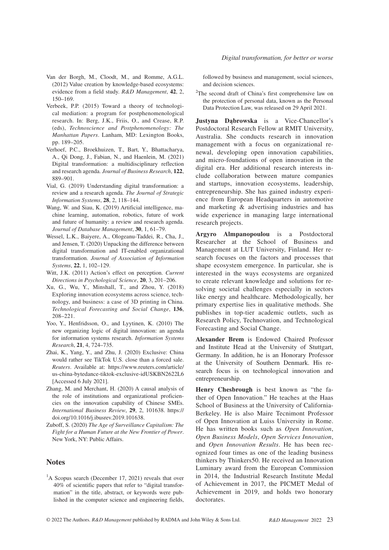- Van der Borgh, M., Cloodt, M., and Romme, A.G.L. (2012) Value creation by knowledge-based ecosystems: evidence from a field study. *R&D Management*, **42**, 2, 150–169.
- Verbeek, P.P. (2015) Toward a theory of technological mediation: a program for postphenomenological research. In: Berg, J.K., Friis, O., and Crease, R.P. (eds), *Technoscience and Postphenomenology: The Manhattan Papers*. Lanham, MD: Lexington Books, pp. 189–205.
- Verhoef, P.C., Broekhuizen, T., Bart, Y., Bhattacharya, A., Qi Dong, J., Fabian, N., and Haenlein, M. (2021) Digital transformation: a multidisciplinary reflection and research agenda. *Journal of Business Research*, **122**, 889–901.
- Vial, G. (2019) Understanding digital transformation: a review and a research agenda. *The Journal of Strategic Information Systems*, **28**, 2, 118–144.
- Wang, W. and Siau, K. (2019) Artificial intelligence, machine learning, automation, robotics, future of work and future of humanity: a review and research agenda. *Journal of Database Management*, **30**, 1, 61–79.
- Wessel, L.K., Baiyere, A., Ologeanu-Taddei, R., Cha, J., and Jensen, T. (2020) Unpacking the difference between digital transformation and IT-enabled organizational transformation. *Journal of Association of Information Systems*, **22**, 1, 102–129.
- Witt, J.K. (2011) Action's effect on perception. *Current Directions in Psychological Science*, **20**, 3, 201–206.
- Xu, G., Wu, Y., Minshall, T., and Zhou, Y. (2018) Exploring innovation ecosystems across science, technology, and business: a case of 3D printing in China. *Technological Forecasting and Social Change*, **136**, 208–221.
- Yoo, Y., Henfridsson, O., and Lyytinen, K. (2010) The new organizing logic of digital innovation: an agenda for information systems research. *Information Systems Research*, **21**, 4, 724–735.
- Zhai, K., Yang, Y., and Zhu, J. (2020) Exclusive: China would rather see TikTok U.S. close than a forced sale. *Reuters*. Available at: [https://www.reuters.com/article/](https://www.reuters.com/article/us-china-bytedance-tiktok-exclusive-idUSKBN2622L6) [us-china-bytedance-tiktok-exclusive-idUSKBN2622L6](https://www.reuters.com/article/us-china-bytedance-tiktok-exclusive-idUSKBN2622L6) [Accessed 6 July 2021].
- Zhang, M. and Merchant, H. (2020) A causal analysis of the role of institutions and organizational proficiencies on the innovation capability of Chinese SMEs. *International Business Review*, **29**, 2, 101638. [https://](https://doi.org/10.1016/j.ibusrev.2019.101638) [doi.org/10.1016/j.ibusrev.2019.101638](https://doi.org/10.1016/j.ibusrev.2019.101638).
- Zuboff, S. (2020) *The Age of Surveillance Capitalism: The Fight for a Human Future at the New Frontier of Power*. New York, NY: Public Affairs.

## **Notes**

<sup>1</sup>A Scopus search (December 17, 2021) reveals that over 40% of scientific papers that refer to "digital transformation" in the title, abstract, or keywords were published in the computer science and engineering fields,

followed by business and management, social sciences, and decision sciences.

<sup>2</sup>The second draft of China's first comprehensive law on the protection of personal data, known as the Personal Data Protection Law, was released on 29 April 2021.

**Justyna Dąbrowska** is a Vice-Chancellor's Postdoctoral Research Fellow at RMIT University, Australia. She conducts research in innovation management with a focus on organizational renewal, developing open innovation capabilities, and micro-foundations of open innovation in the digital era. Her additional research interests include collaboration between mature companies and startups, innovation ecosystems, leadership, entrepreneurship. She has gained industry experience from European Headquarters in automotive and marketing & advertising industries and has wide experience in managing large international research projects.

**Argyro Almpanopoulou** is a Postdoctoral Researcher at the School of Business and Management at LUT University, Finland. Her research focuses on the factors and processes that shape ecosystem emergence. In particular, she is interested in the ways ecosystems are organized to create relevant knowledge and solutions for resolving societal challenges especially in sectors like energy and healthcare. Methodologically, her primary expertise lies in qualitative methods. She publishes in top-tier academic outlets, such as Research Policy, Technovation, and Technological Forecasting and Social Change.

**Alexander Brem** is Endowed Chaired Professor and Institute Head at the University of Stuttgart, Germany. In addition, he is an Honorary Professor at the University of Southern Denmark. His research focus is on technological innovation and entrepreneurship.

**Henry Chesbrough** is best known as "the father of Open Innovation." He teaches at the Haas School of Business at the University of California-Berkeley. He is also Maire Tecnimont Professor of Open Innovation at Luiss University in Rome. He has written books such as *Open Innovation*, *Open Business Models*, *Open Services Innovation*, and *Open Innovation Results*. He has been recognized four times as one of the leading business thinkers by Thinkers50. He received an Innovation Luminary award from the European Commission in 2014, the Industrial Research Institute Medal of Achievement in 2017, the PICMET Medal of Achievement in 2019, and holds two honorary doctorates.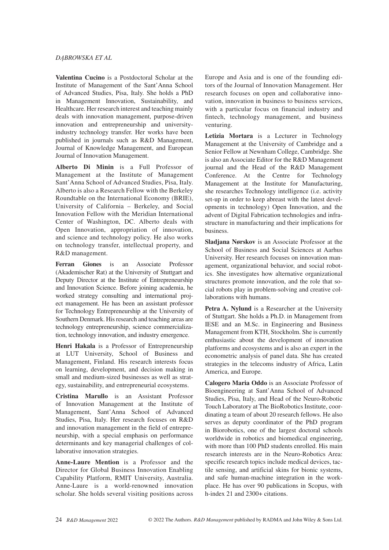#### *DĄBROWSKA ET AL*

**Valentina Cucino** is a Postdoctoral Scholar at the Institute of Management of the Sant'Anna School of Advanced Studies, Pisa, Italy. She holds a PhD in Management Innovation, Sustainability, and Healthcare. Her research interest and teaching mainly deals with innovation management, purpose-driven innovation and entrepreneurship and universityindustry technology transfer. Her works have been published in journals such as R&D Management, Journal of Knowledge Management, and European Journal of Innovation Management.

**Alberto Di Minin** is a Full Professor of Management at the Institute of Management Sant'Anna School of Advanced Studies, Pisa, Italy. Alberto is also a Research Fellow with the Berkeley Roundtable on the International Economy (BRIE), University of California – Berkeley, and Social Innovation Fellow with the Meridian International Center of Washington, DC. Alberto deals with Open Innovation, appropriation of innovation, and science and technology policy. He also works on technology transfer, intellectual property, and R&D management.

**Ferran Giones** is an Associate Professor (Akademischer Rat) at the University of Stuttgart and Deputy Director at the Institute of Entrepreneurship and Innovation Science. Before joining academia, he worked strategy consulting and international project management. He has been an assistant professor for Technology Entrepreneurship at the University of Southern Denmark. His research and teaching areas are technology entrepreneurship, science commercialization, technology innovation, and industry emergence.

**Henri Hakala** is a Professor of Entrepreneurship at LUT University, School of Business and Management, Finland. His research interests focus on learning, development, and decision making in small and medium-sized businesses as well as strategy, sustainability, and entrepreneurial ecosystems.

**Cristina Marullo** is an Assistant Professor of Innovation Management at the Institute of Management, Sant'Anna School of Advanced Studies, Pisa, Italy. Her research focuses on R&D and innovation management in the field of entrepreneurship, with a special emphasis on performance determinants and key managerial challenges of collaborative innovation strategies.

**Anne-Laure Mention** is a Professor and the Director for Global Business Innovation Enabling Capability Platform, RMIT University, Australia. Anne-Laure is a world-renowned innovation scholar. She holds several visiting positions across

Europe and Asia and is one of the founding editors of the Journal of Innovation Management. Her research focuses on open and collaborative innovation, innovation in business to business services, with a particular focus on financial industry and fintech, technology management, and business venturing.

**Letizia Mortara** is a Lecturer in Technology Management at the University of Cambridge and a Senior Fellow at Newnham College, Cambridge. She is also an Associate Editor for the R&D Management journal and the Head of the R&D Management Conference. At the Centre for Technology Management at the Institute for Manufacturing, she researches Technology intelligence (i.e. activity set-up in order to keep abreast with the latest developments in technology) Open Innovation, and the advent of Digital Fabrication technologies and infrastructure in manufacturing and their implications for business.

**Sladjana Nørskov** is an Associate Professor at the School of Business and Social Sciences at Aarhus University. Her research focuses on innovation management, organizational behavior, and social robotics. She investigates how alternative organizational structures promote innovation, and the role that social robots play in problem-solving and creative collaborations with humans.

**Petra A. Nylund** is a Researcher at the University of Stuttgart. She holds a Ph.D. in Management from IESE and an M.Sc. in Engineering and Business Management from KTH, Stockholm. She is currently enthusiastic about the development of innovation platforms and ecosystems and is also an expert in the econometric analysis of panel data. She has created strategies in the telecoms industry of Africa, Latin America, and Europe.

**Calogero Maria Oddo** is an Associate Professor of Bioengineering at Sant'Anna School of Advanced Studies, Pisa, Italy, and Head of the Neuro-Robotic Touch Laboratory at The BioRobotics Institute, coordinating a team of about 20 research fellows. He also serves as deputy coordinator of the PhD program in Biorobotics, one of the largest doctoral schools worldwide in robotics and biomedical engineering, with more than 100 PhD students enrolled. His main research interests are in the Neuro-Robotics Area: specific research topics include medical devices, tactile sensing, and artificial skins for bionic systems, and safe human-machine integration in the workplace. He has over 90 publications in Scopus, with h-index 21 and 2300+ citations.